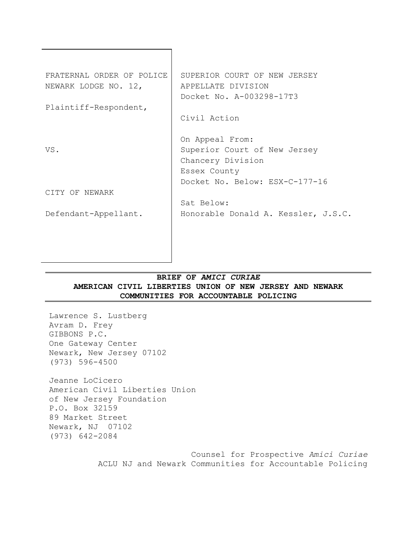| FRATERNAL ORDER OF POLICE | SUPERIOR COURT OF NEW JERSEY        |
|---------------------------|-------------------------------------|
| NEWARK LODGE NO. 12,      | APPELLATE DIVISION                  |
|                           | Docket No. A-003298-17T3            |
| Plaintiff-Respondent,     |                                     |
|                           | Civil Action                        |
|                           |                                     |
|                           | On Appeal From:                     |
| VS.                       | Superior Court of New Jersey        |
|                           | Chancery Division                   |
|                           | Essex County                        |
|                           | Docket No. Below: ESX-C-177-16      |
| CITY OF NEWARK            |                                     |
|                           | Sat Below:                          |
| Defendant-Appellant.      | Honorable Donald A. Kessler, J.S.C. |
|                           |                                     |
|                           |                                     |
|                           |                                     |
|                           |                                     |

# **BRIEF OF** *AMICI CURIAE* **AMERICAN CIVIL LIBERTIES UNION OF NEW JERSEY AND NEWARK COMMUNITIES FOR ACCOUNTABLE POLICING**

Lawrence S. Lustberg Avram D. Frey GIBBONS P.C. One Gateway Center Newark, New Jersey 07102 (973) 596-4500

Jeanne LoCicero American Civil Liberties Union of New Jersey Foundation P.O. Box 32159 89 Market Street Newark, NJ 07102 (973) 642-2084

> Counsel for Prospective *Amici Curiae* ACLU NJ and Newark Communities for Accountable Policing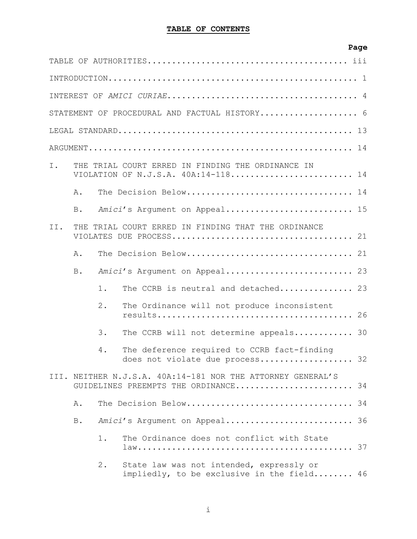# **Page**

|     |            |       | STATEMENT OF PROCEDURAL AND FACTUAL HISTORY 6                                                       |    |
|-----|------------|-------|-----------------------------------------------------------------------------------------------------|----|
|     |            |       |                                                                                                     |    |
|     |            |       |                                                                                                     |    |
| I.  |            |       | THE TRIAL COURT ERRED IN FINDING THE ORDINANCE IN<br>VIOLATION OF N.J.S.A. 40A:14-118 14            |    |
|     | Α.         |       | The Decision Below 14                                                                               |    |
|     | B.         |       | Amici's Argument on Appeal 15                                                                       |    |
| II. |            |       | THE TRIAL COURT ERRED IN FINDING THAT THE ORDINANCE                                                 |    |
|     | Α.         |       |                                                                                                     |    |
|     | <b>B</b> . |       | Amici's Argument on Appeal 23                                                                       |    |
|     |            | $1$ . | The CCRB is neutral and detached 23                                                                 |    |
|     |            | $2$ . | The Ordinance will not produce inconsistent                                                         |    |
|     |            | 3.    | The CCRB will not determine appeals 30                                                              |    |
|     |            | 4.    | The deference required to CCRB fact-finding<br>does not violate due process 32                      |    |
|     |            |       | III. NEITHER N.J.S.A. 40A:14-181 NOR THE ATTORNEY GENERAL'S<br>GUIDELINES PREEMPTS THE ORDINANCE 34 |    |
|     | Α.         |       | The Decision Below                                                                                  | 34 |
|     | <b>B</b> . |       | Amici's Argument on Appeal 36                                                                       |    |
|     |            | $1$ . | The Ordinance does not conflict with State                                                          |    |
|     |            | $2$ . | State law was not intended, expressly or<br>impliedly, to be exclusive in the field 46              |    |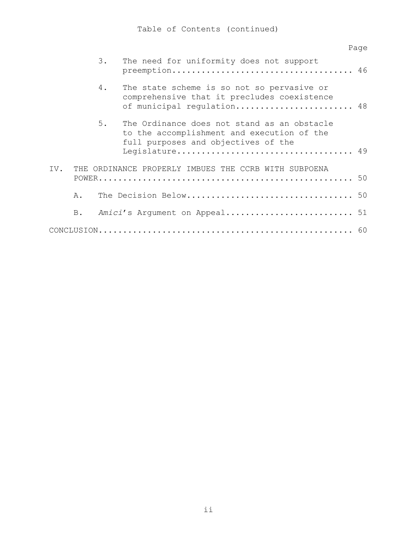|     |    |    |                                                                                                                                                    | Page |
|-----|----|----|----------------------------------------------------------------------------------------------------------------------------------------------------|------|
|     |    | 3. | The need for uniformity does not support                                                                                                           |      |
|     |    | 4. | The state scheme is so not so pervasive or<br>comprehensive that it precludes coexistence<br>of municipal regulation 48                            |      |
|     |    | 5. | The Ordinance does not stand as an obstacle<br>to the accomplishment and execution of the<br>full purposes and objectives of the<br>Legislature 49 |      |
| IV. |    |    | THE ORDINANCE PROPERLY IMBUES THE CCRB WITH SUBPOENA                                                                                               |      |
|     | Α. |    |                                                                                                                                                    |      |
|     | B. |    | Amici's Argument on Appeal 51                                                                                                                      |      |
|     |    |    |                                                                                                                                                    |      |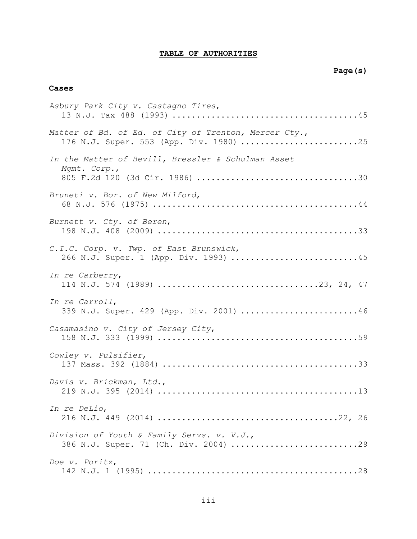# **TABLE OF AUTHORITIES**

### **Cases**

| Asbury Park City v. Castagno Tires,                                                              |
|--------------------------------------------------------------------------------------------------|
| Matter of Bd. of Ed. of City of Trenton, Mercer Cty.,<br>176 N.J. Super. 553 (App. Div. 1980) 25 |
| In the Matter of Bevill, Bressler & Schulman Asset<br>Mgmt. Corp.,                               |
| Bruneti v. Bor. of New Milford,                                                                  |
| Burnett v. Cty. of Beren,                                                                        |
| C.I.C. Corp. v. Twp. of East Brunswick,<br>266 N.J. Super. 1 (App. Div. 1993) 45                 |
| In re Carberry,                                                                                  |
| In re Carroll,<br>339 N.J. Super. 429 (App. Div. 2001) 46                                        |
| Casamasino v. City of Jersey City,                                                               |
| Cowley v. Pulsifier,                                                                             |
| Davis v. Brickman, Ltd.,                                                                         |
| In re DeLio,                                                                                     |
| Division of Youth & Family Servs. v. V.J.,<br>386 N.J. Super. 71 (Ch. Div. 2004) 29              |
| Doe v. Poritz,                                                                                   |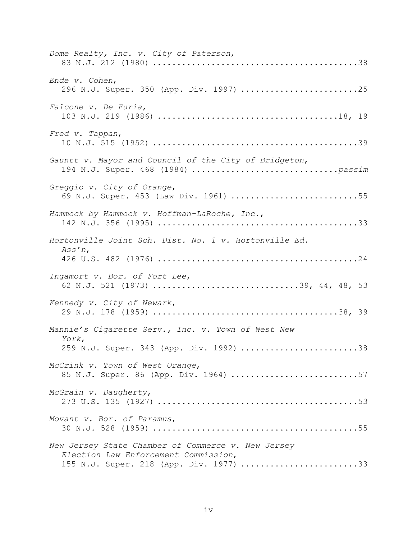| Dome Realty, Inc. v. City of Paterson,                                                                                                |
|---------------------------------------------------------------------------------------------------------------------------------------|
| Ende v. Cohen,<br>296 N.J. Super. 350 (App. Div. 1997) 25                                                                             |
| Falcone v. De Furia,                                                                                                                  |
| Fred v. Tappan,                                                                                                                       |
| Gauntt v. Mayor and Council of the City of Bridgeton,                                                                                 |
| Greggio v. City of Orange,<br>69 N.J. Super. 453 (Law Div. 1961) 55                                                                   |
| Hammock by Hammock v. Hoffman-LaRoche, Inc.,                                                                                          |
| Hortonville Joint Sch. Dist. No. 1 v. Hortonville Ed.<br>$Ass'n$ ,                                                                    |
| Ingamort v. Bor. of Fort Lee,<br>62 N.J. 521 (1973) 39, 44, 48, 53                                                                    |
| Kennedy v. City of Newark,                                                                                                            |
| Mannie's Cigarette Serv., Inc. v. Town of West New<br>York,<br>259 N.J. Super. 343 (App. Div. 1992) 38                                |
| McCrink v. Town of West Orange,<br>85 N.J. Super. 86 (App. Div. 1964) 57                                                              |
| McGrain v. Daugherty,                                                                                                                 |
| Movant v. Bor. of Paramus,                                                                                                            |
| New Jersey State Chamber of Commerce v. New Jersey<br>Election Law Enforcement Commission,<br>155 N.J. Super. 218 (App. Div. 1977) 33 |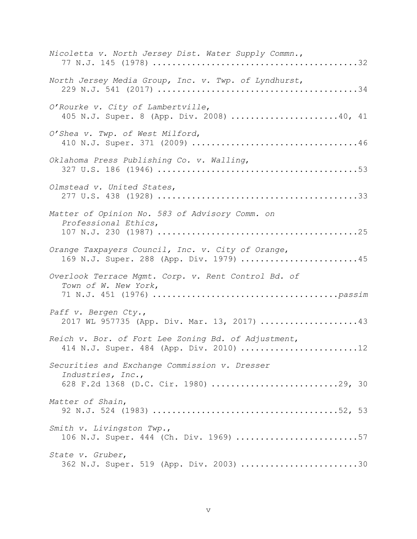| Nicoletta v. North Jersey Dist. Water Supply Commn.,                                                        |
|-------------------------------------------------------------------------------------------------------------|
| North Jersey Media Group, Inc. v. Twp. of Lyndhurst,                                                        |
| O'Rourke v. City of Lambertville,<br>405 N.J. Super. 8 (App. Div. 2008) 40, 41                              |
| O'Shea v. Twp. of West Milford,                                                                             |
| Oklahoma Press Publishing Co. v. Walling,                                                                   |
| Olmstead v. United States,                                                                                  |
| Matter of Opinion No. 583 of Advisory Comm. on<br>Professional Ethics,                                      |
| Orange Taxpayers Council, Inc. v. City of Orange,<br>169 N.J. Super. 288 (App. Div. 1979) 45                |
| Overlook Terrace Mgmt. Corp. v. Rent Control Bd. of<br>Town of W. New York,                                 |
| Paff v. Bergen Cty.,<br>2017 WL 957735 (App. Div. Mar. 13, 2017) 43                                         |
| Reich v. Bor. of Fort Lee Zoning Bd. of Adjustment,<br>414 N.J. Super. 484 (App. Div. 2010) 12              |
| Securities and Exchange Commission v. Dresser<br>Industries, Inc.,<br>628 F.2d 1368 (D.C. Cir. 1980) 29, 30 |
| Matter of Shain,                                                                                            |
| Smith v. Livingston Twp.,<br>106 N.J. Super. 444 (Ch. Div. 1969) 57                                         |
| State v. Gruber,<br>362 N.J. Super. 519 (App. Div. 2003) 30                                                 |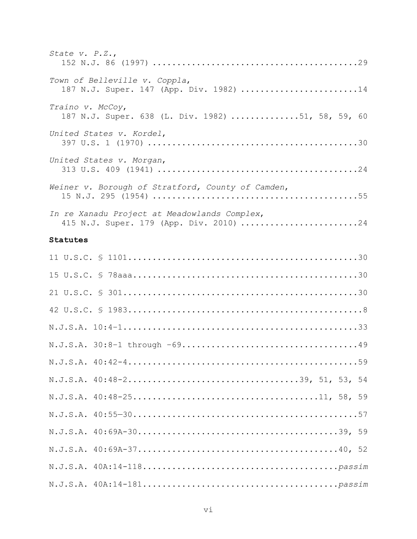| State v. $P.Z.,$                                                                        |
|-----------------------------------------------------------------------------------------|
| Town of Belleville v. Coppla,<br>187 N.J. Super. 147 (App. Div. 1982) 14                |
| Traino v. McCoy,<br>187 N.J. Super. 638 (L. Div. 1982) 51, 58, 59, 60                   |
| United States v. Kordel,                                                                |
| United States v. Morgan,                                                                |
| Weiner v. Borough of Stratford, County of Camden,                                       |
| In re Xanadu Project at Meadowlands Complex,<br>415 N.J. Super. 179 (App. Div. 2010) 24 |

# **Statutes**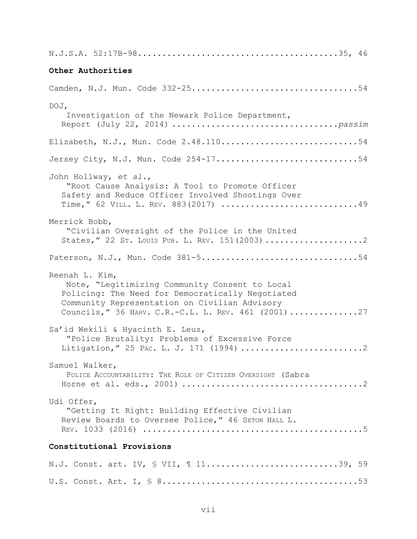| Other Authorities                                                                                                                                                                                                             |
|-------------------------------------------------------------------------------------------------------------------------------------------------------------------------------------------------------------------------------|
|                                                                                                                                                                                                                               |
| DOJ,<br>Investigation of the Newark Police Department,                                                                                                                                                                        |
| Elizabeth, N.J., Mun. Code 2.48.11054                                                                                                                                                                                         |
| Jersey City, N.J. Mun. Code 254-1754                                                                                                                                                                                          |
| John Hollway, et al.,<br>"Root Cause Analysis: A Tool to Promote Officer<br>Safety and Reduce Officer Involved Shootings Over<br>Time, " 62 VILL. L. REV. 883(2017) 49                                                        |
| Merrick Bobb,<br>"Civilian Oversight of the Police in the United<br>States, " 22 ST. LOUIS PUB. L. REV. 151(2003) 2                                                                                                           |
| Paterson, N.J., Mun. Code 381-554                                                                                                                                                                                             |
| Reenah L. Kim,<br>Note, "Legitimizing Community Consent to Local<br>Policing: The Need for Democratically Negotiated<br>Community Representation on Civilian Advisory<br>Councils, " 36 HARV. C.R.-C.L. L. REV. 461 (2001) 27 |
| Sa'id Wekili & Hyacinth E. Leus,<br>"Police Brutality: Problems of Excessive Force<br>Litigation," 25 PAC. L. J. 171 (1994) 2                                                                                                 |
| Samuel Walker,<br>POLICE ACCOUNTABILITY: THE ROLE OF CITIZEN OVERSIGHT (Sabra                                                                                                                                                 |
| Udi Offer,<br>"Getting It Right: Building Effective Civilian<br>Review Boards to Oversee Police," 46 SETON HALL L.                                                                                                            |
| Constitutional Provisions                                                                                                                                                                                                     |
| N.J. Const. art. IV, § VII, 1139, 59                                                                                                                                                                                          |
|                                                                                                                                                                                                                               |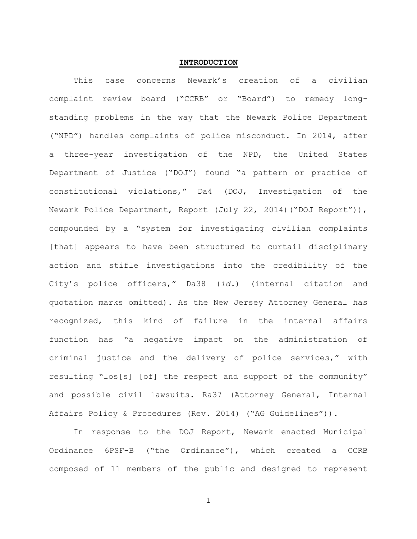### **INTRODUCTION**

This case concerns Newark's creation of a civilian complaint review board ("CCRB" or "Board") to remedy longstanding problems in the way that the Newark Police Department ("NPD") handles complaints of police misconduct. In 2014, after a three-year investigation of the NPD, the United States Department of Justice ("DOJ") found "a pattern or practice of constitutional violations," Da4 (DOJ, Investigation of the Newark Police Department, Report (July 22, 2014)("DOJ Report")), compounded by a "system for investigating civilian complaints [that] appears to have been structured to curtail disciplinary action and stifle investigations into the credibility of the City's police officers," Da38 (*id.*) (internal citation and quotation marks omitted). As the New Jersey Attorney General has recognized, this kind of failure in the internal affairs function has "a negative impact on the administration of criminal justice and the delivery of police services," with resulting "los[s] [of] the respect and support of the community" and possible civil lawsuits. Ra37 (Attorney General, Internal Affairs Policy & Procedures (Rev. 2014) ("AG Guidelines")).

In response to the DOJ Report, Newark enacted Municipal Ordinance 6PSF-B ("the Ordinance"), which created a CCRB composed of 11 members of the public and designed to represent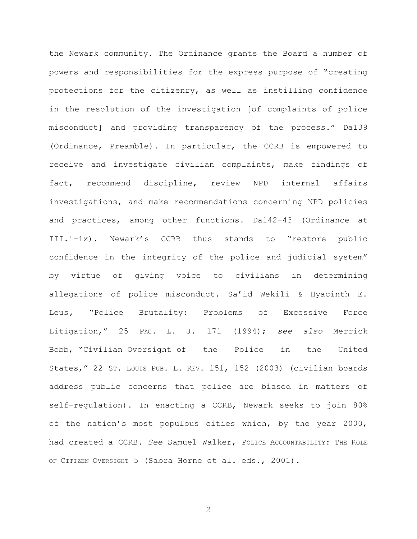the Newark community. The Ordinance grants the Board a number of powers and responsibilities for the express purpose of "creating protections for the citizenry, as well as instilling confidence in the resolution of the investigation [of complaints of police misconduct] and providing transparency of the process." Da139 (Ordinance, Preamble). In particular, the CCRB is empowered to receive and investigate civilian complaints, make findings of fact, recommend discipline, review NPD internal affairs investigations, and make recommendations concerning NPD policies and practices, among other functions. Da142-43 (Ordinance at III.i-ix). Newark's CCRB thus stands to "restore public confidence in the integrity of the police and judicial system" by virtue of giving voice to civilians in determining allegations of police misconduct. Sa'id Wekili & Hyacinth E. Leus*,* "Police Brutality: Problems of Excessive Force Litigation," 25 PAC. L. J. 171 (1994); *see also* Merrick Bobb, "Civilian Oversight of the Police in the United States," 22 ST. LOUIS PUB. L. REV. 151, 152 (2003) (civilian boards address public concerns that police are biased in matters of self-regulation). In enacting a CCRB, Newark seeks to join 80% of the nation's most populous cities which, by the year 2000, had created a CCRB. *See* Samuel Walker, POLICE ACCOUNTABILITY: THE ROLE OF CITIZEN OVERSIGHT 5 (Sabra Horne et al. eds., 2001).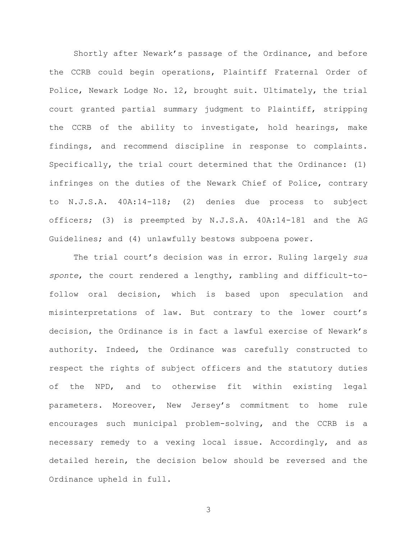Shortly after Newark's passage of the Ordinance, and before the CCRB could begin operations, Plaintiff Fraternal Order of Police, Newark Lodge No. 12, brought suit. Ultimately, the trial court granted partial summary judgment to Plaintiff, stripping the CCRB of the ability to investigate, hold hearings, make findings, and recommend discipline in response to complaints. Specifically, the trial court determined that the Ordinance: (1) infringes on the duties of the Newark Chief of Police, contrary to N.J.S.A. 40A:14-118; (2) denies due process to subject officers; (3) is preempted by N.J.S.A. 40A:14-181 and the AG Guidelines; and (4) unlawfully bestows subpoena power.

The trial court's decision was in error. Ruling largely *sua sponte*, the court rendered a lengthy, rambling and difficult-tofollow oral decision, which is based upon speculation and misinterpretations of law. But contrary to the lower court's decision, the Ordinance is in fact a lawful exercise of Newark's authority. Indeed, the Ordinance was carefully constructed to respect the rights of subject officers and the statutory duties of the NPD, and to otherwise fit within existing legal parameters. Moreover, New Jersey's commitment to home rule encourages such municipal problem-solving, and the CCRB is a necessary remedy to a vexing local issue. Accordingly, and as detailed herein, the decision below should be reversed and the Ordinance upheld in full.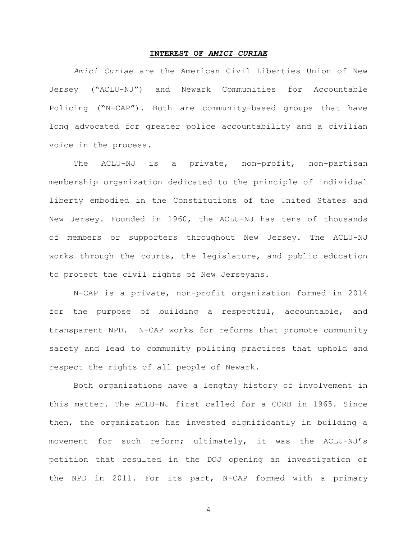#### **INTEREST OF** *AMICI CURIAE*

*Amici Curiae* are the American Civil Liberties Union of New Jersey ("ACLU-NJ") and Newark Communities for Accountable Policing ("N-CAP"). Both are community-based groups that have long advocated for greater police accountability and a civilian voice in the process.

The ACLU-NJ is a private, non-profit, non-partisan membership organization dedicated to the principle of individual liberty embodied in the Constitutions of the United States and New Jersey. Founded in 1960, the ACLU-NJ has tens of thousands of members or supporters throughout New Jersey. The ACLU-NJ works through the courts, the legislature, and public education to protect the civil rights of New Jerseyans.

N-CAP is a private, non-profit organization formed in 2014 for the purpose of building a respectful, accountable, and transparent NPD. N-CAP works for reforms that promote community safety and lead to community policing practices that uphold and respect the rights of all people of Newark.

Both organizations have a lengthy history of involvement in this matter. The ACLU-NJ first called for a CCRB in 1965. Since then, the organization has invested significantly in building a movement for such reform; ultimately, it was the ACLU-NJ's petition that resulted in the DOJ opening an investigation of the NPD in 2011. For its part, N-CAP formed with a primary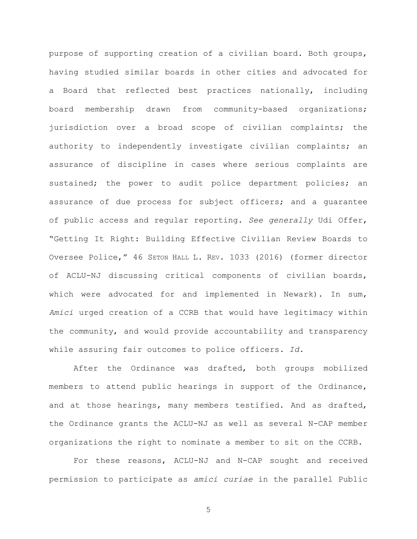purpose of supporting creation of a civilian board. Both groups, having studied similar boards in other cities and advocated for a Board that reflected best practices nationally, including board membership drawn from community-based organizations; jurisdiction over a broad scope of civilian complaints; the authority to independently investigate civilian complaints; an assurance of discipline in cases where serious complaints are sustained; the power to audit police department policies; an assurance of due process for subject officers; and a guarantee of public access and regular reporting. *See generally* Udi Offer, "Getting It Right: Building Effective Civilian Review Boards to Oversee Police," 46 SETON HALL L. REV. 1033 (2016) (former director of ACLU-NJ discussing critical components of civilian boards, which were advocated for and implemented in Newark). In sum, *Amici* urged creation of a CCRB that would have legitimacy within the community, and would provide accountability and transparency while assuring fair outcomes to police officers. *Id.*

After the Ordinance was drafted, both groups mobilized members to attend public hearings in support of the Ordinance, and at those hearings, many members testified. And as drafted, the Ordinance grants the ACLU-NJ as well as several N-CAP member organizations the right to nominate a member to sit on the CCRB.

For these reasons, ACLU-NJ and N-CAP sought and received permission to participate as *amici curiae* in the parallel Public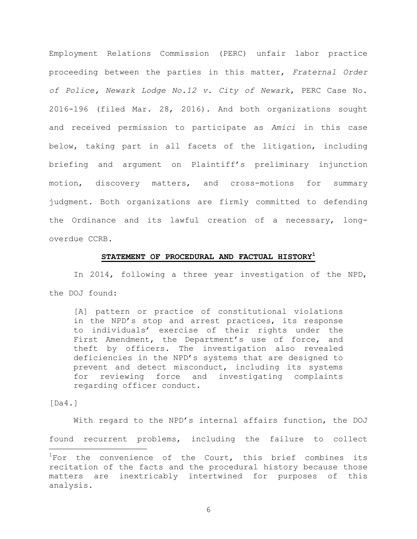Employment Relations Commission (PERC) unfair labor practice proceeding between the parties in this matter, *Fraternal Order of Police, Newark Lodge No.12 v. City of Newark*, PERC Case No. 2016-196 (filed Mar. 28, 2016). And both organizations sought and received permission to participate as *Amici* in this case below, taking part in all facets of the litigation, including briefing and argument on Plaintiff's preliminary injunction motion, discovery matters, and cross-motions for summary judgment. Both organizations are firmly committed to defending the Ordinance and its lawful creation of a necessary, longoverdue CCRB.

### **STATEMENT OF PROCEDURAL AND FACTUAL HISTORY<sup>1</sup>**

In 2014, following a three year investigation of the NPD, the DOJ found:

[A] pattern or practice of constitutional violations in the NPD's stop and arrest practices, its response to individuals' exercise of their rights under the First Amendment, the Department's use of force, and theft by officers. The investigation also revealed deficiencies in the NPD's systems that are designed to prevent and detect misconduct, including its systems for reviewing force and investigating complaints regarding officer conduct.

[Da4.]

With regard to the NPD's internal affairs function, the DOJ found recurrent problems, including the failure to collect a<br>B

 $1$ For the convenience of the Court, this brief combines its recitation of the facts and the procedural history because those matters are inextricably intertwined for purposes of this analysis.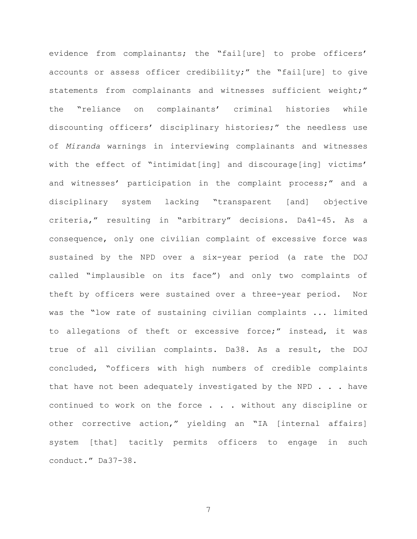evidence from complainants; the "fail[ure] to probe officers' accounts or assess officer credibility;" the "fail[ure] to give statements from complainants and witnesses sufficient weight;" the "reliance on complainants' criminal histories while discounting officers' disciplinary histories;" the needless use of *Miranda* warnings in interviewing complainants and witnesses with the effect of "intimidat[ing] and discourage[ing] victims' and witnesses' participation in the complaint process;" and a disciplinary system lacking "transparent [and] objective criteria," resulting in "arbitrary" decisions. Da41-45. As a consequence, only one civilian complaint of excessive force was sustained by the NPD over a six-year period (a rate the DOJ called "implausible on its face") and only two complaints of theft by officers were sustained over a three-year period. Nor was the "low rate of sustaining civilian complaints ... limited to allegations of theft or excessive force;" instead, it was true of all civilian complaints. Da38. As a result, the DOJ concluded, "officers with high numbers of credible complaints that have not been adequately investigated by the NPD  $\ldots$  have continued to work on the force . . . without any discipline or other corrective action," yielding an "IA [internal affairs] system [that] tacitly permits officers to engage in such conduct." Da37-38.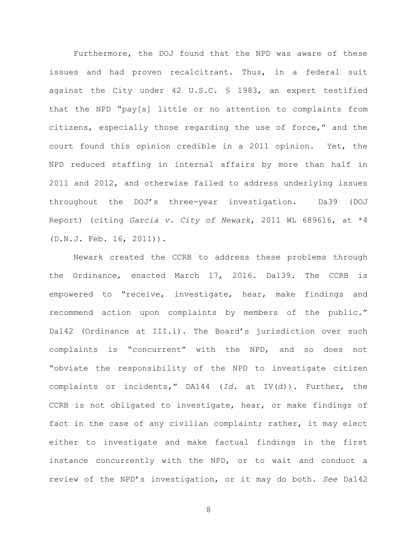Furthermore, the DOJ found that the NPD was aware of these issues and had proven recalcitrant. Thus, in a federal suit against the City under 42 U.S.C. § 1983, an expert testified that the NPD "pay[s] little or no attention to complaints from citizens, especially those regarding the use of force," and the court found this opinion credible in a 2011 opinion. Yet, the NPD reduced staffing in internal affairs by more than half in 2011 and 2012, and otherwise failed to address underlying issues throughout the DOJ's three-year investigation. Da39 (DOJ Report) (citing *Garcia v. City of Newark*, 2011 WL 689616, at \*4 (D.N.J. Feb. 16, 2011)).

Newark created the CCRB to address these problems through the Ordinance, enacted March 17, 2016. Da139. The CCRB is empowered to "receive, investigate, hear, make findings and recommend action upon complaints by members of the public." Da142 (Ordinance at III.i). The Board's jurisdiction over such complaints is "concurrent" with the NPD, and so does not "obviate the responsibility of the NPD to investigate citizen complaints or incidents," DA144 (*Id.* at IV(d)). Further, the CCRB is not obligated to investigate, hear, or make findings of fact in the case of any civilian complaint; rather, it may elect either to investigate and make factual findings in the first instance concurrently with the NPD, or to wait and conduct a review of the NPD's investigation, or it may do both. *See* Da142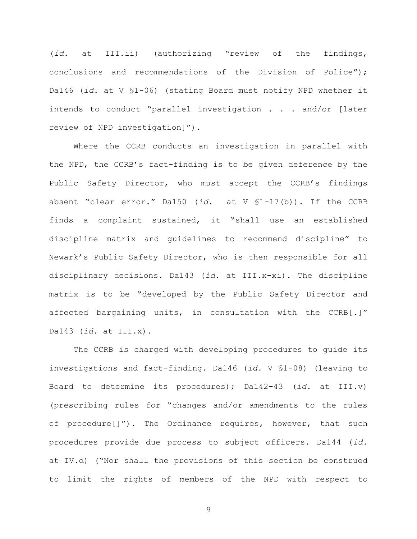(*id.* at III.ii) (authorizing "review of the findings, conclusions and recommendations of the Division of Police"); Da146 (*id.* at V §1-06) (stating Board must notify NPD whether it intends to conduct "parallel investigation . . . and/or [later review of NPD investigation]").

Where the CCRB conducts an investigation in parallel with the NPD, the CCRB's fact-finding is to be given deference by the Public Safety Director, who must accept the CCRB's findings absent "clear error." Da150 (*id.* at V §1-17(b)). If the CCRB finds a complaint sustained, it "shall use an established discipline matrix and guidelines to recommend discipline" to Newark's Public Safety Director, who is then responsible for all disciplinary decisions. Da143 (*id.* at III.x-xi). The discipline matrix is to be "developed by the Public Safety Director and affected bargaining units, in consultation with the CCRB[.]" Da143 (*id.* at III.x).

The CCRB is charged with developing procedures to guide its investigations and fact-finding. Da146 (*id.* V §1-08) (leaving to Board to determine its procedures); Da142-43 (*id.* at III.v) (prescribing rules for "changes and/or amendments to the rules of procedure[]"). The Ordinance requires, however, that such procedures provide due process to subject officers. Da144 (*id.* at IV.d) ("Nor shall the provisions of this section be construed to limit the rights of members of the NPD with respect to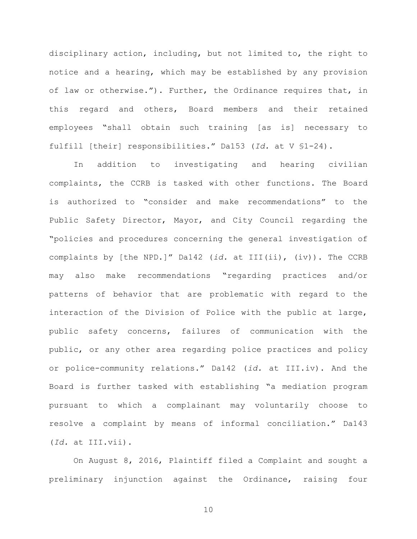disciplinary action, including, but not limited to, the right to notice and a hearing, which may be established by any provision of law or otherwise."). Further, the Ordinance requires that, in this regard and others, Board members and their retained employees "shall obtain such training [as is] necessary to fulfill [their] responsibilities." Da153 (*Id.* at V §1-24).

In addition to investigating and hearing civilian complaints, the CCRB is tasked with other functions. The Board is authorized to "consider and make recommendations" to the Public Safety Director, Mayor, and City Council regarding the "policies and procedures concerning the general investigation of complaints by [the NPD.]" Da142 (*id.* at III(ii), (iv)). The CCRB may also make recommendations "regarding practices and/or patterns of behavior that are problematic with regard to the interaction of the Division of Police with the public at large, public safety concerns, failures of communication with the public, or any other area regarding police practices and policy or police-community relations." Da142 (*id.* at III.iv). And the Board is further tasked with establishing "a mediation program pursuant to which a complainant may voluntarily choose to resolve a complaint by means of informal conciliation." Da143 (*Id.* at III.vii).

On August 8, 2016, Plaintiff filed a Complaint and sought a preliminary injunction against the Ordinance, raising four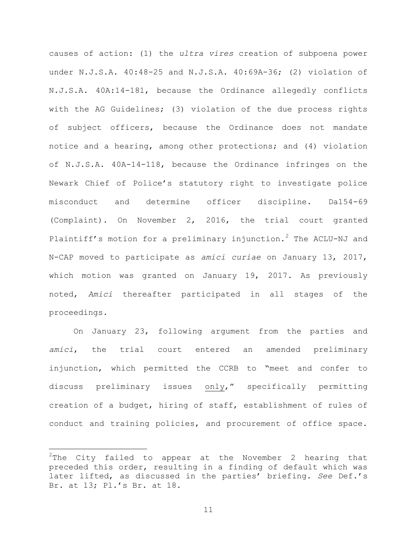causes of action: (1) the *ultra vires* creation of subpoena power under N.J.S.A. 40:48-25 and N.J.S.A. 40:69A-36; (2) violation of N.J.S.A. 40A:14-181, because the Ordinance allegedly conflicts with the AG Guidelines; (3) violation of the due process rights of subject officers, because the Ordinance does not mandate notice and a hearing, among other protections; and (4) violation of N.J.S.A. 40A-14-118, because the Ordinance infringes on the Newark Chief of Police's statutory right to investigate police misconduct and determine officer discipline. Da154-69 (Complaint). On November 2, 2016, the trial court granted Plaintiff's motion for a preliminary injunction.<sup>2</sup> The ACLU-NJ and N-CAP moved to participate as *amici curiae* on January 13, 2017, which motion was granted on January 19, 2017. As previously noted, *Amici* thereafter participated in all stages of the proceedings.

On January 23, following argument from the parties and *amici*, the trial court entered an amended preliminary injunction, which permitted the CCRB to "meet and confer to discuss preliminary issues only," specifically permitting creation of a budget, hiring of staff, establishment of rules of conduct and training policies, and procurement of office space.

a<br>B

 $2^2$ The City failed to appear at the November 2 hearing that preceded this order, resulting in a finding of default which was later lifted, as discussed in the parties' briefing. *See* Def.'s Br. at 13; Pl.'s Br. at 18.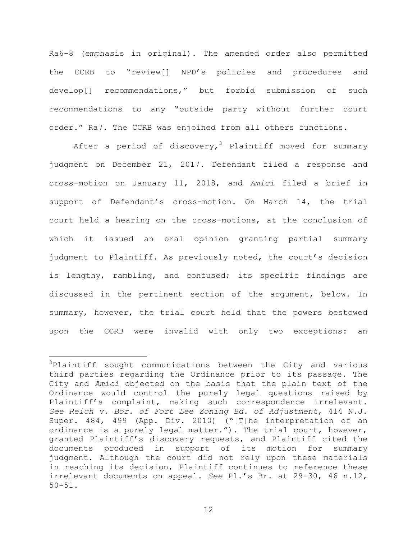Ra6-8 (emphasis in original). The amended order also permitted the CCRB to "review[] NPD's policies and procedures and develop[] recommendations," but forbid submission of such recommendations to any "outside party without further court order." Ra7. The CCRB was enjoined from all others functions.

After a period of discovery,<sup>3</sup> Plaintiff moved for summary judgment on December 21, 2017. Defendant filed a response and cross-motion on January 11, 2018, and *Amici* filed a brief in support of Defendant's cross-motion. On March 14, the trial court held a hearing on the cross-motions, at the conclusion of which it issued an oral opinion granting partial summary judgment to Plaintiff. As previously noted, the court's decision is lengthy, rambling, and confused; its specific findings are discussed in the pertinent section of the argument, below. In summary, however, the trial court held that the powers bestowed upon the CCRB were invalid with only two exceptions: an

L,

 $3$ Plaintiff sought communications between the City and various third parties regarding the Ordinance prior to its passage. The City and *Amici* objected on the basis that the plain text of the Ordinance would control the purely legal questions raised by Plaintiff's complaint, making such correspondence irrelevant. *See Reich v. Bor. of Fort Lee Zoning Bd. of Adjustment*, 414 N.J. Super. 484, 499 (App. Div. 2010) ("[T]he interpretation of an ordinance is a purely legal matter."). The trial court, however, granted Plaintiff's discovery requests, and Plaintiff cited the documents produced in support of its motion for summary judgment. Although the court did not rely upon these materials in reaching its decision, Plaintiff continues to reference these irrelevant documents on appeal. *See* Pl.'s Br. at 29-30, 46 n.12, 50-51.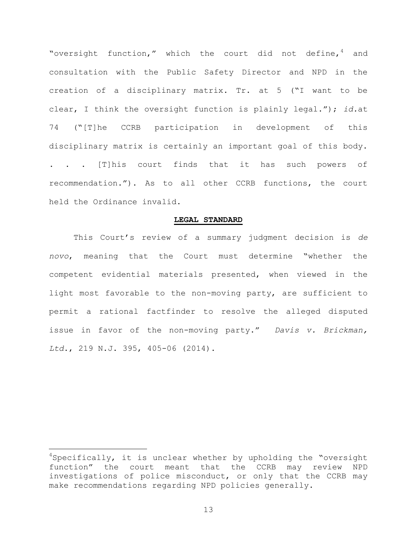"oversight function," which the court did not define, $4$  and consultation with the Public Safety Director and NPD in the creation of a disciplinary matrix. Tr. at 5 ("I want to be clear, I think the oversight function is plainly legal."); *id.*at 74 ("[T]he CCRB participation in development of this disciplinary matrix is certainly an important goal of this body. . . . [T]his court finds that it has such powers of recommendation."). As to all other CCRB functions, the court held the Ordinance invalid.

#### **LEGAL STANDARD**

This Court's review of a summary judgment decision is *de novo*, meaning that the Court must determine "whether the competent evidential materials presented, when viewed in the light most favorable to the non-moving party, are sufficient to permit a rational factfinder to resolve the alleged disputed issue in favor of the non-moving party." *Davis v. Brickman, Ltd*., 219 N.J. 395, 405-06 (2014).

a<br>B

 $4$ Specifically, it is unclear whether by upholding the "oversight function" the court meant that the CCRB may review NPD investigations of police misconduct, or only that the CCRB may make recommendations regarding NPD policies generally.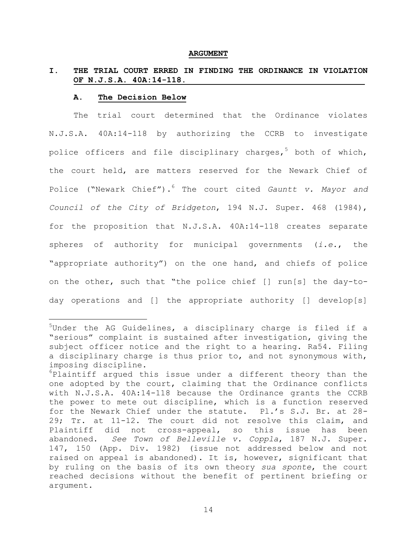#### **ARGUMENT**

# **I. THE TRIAL COURT ERRED IN FINDING THE ORDINANCE IN VIOLATION OF N.J.S.A. 40A:14-118.**

### **A. The Decision Below**

L,

The trial court determined that the Ordinance violates N.J.S.A. 40A:14-118 by authorizing the CCRB to investigate police officers and file disciplinary charges,<sup>5</sup> both of which, the court held, are matters reserved for the Newark Chief of Police ("Newark Chief").<sup>6</sup> The court cited *Gauntt v. Mayor and Council of the City of Bridgeton*, 194 N.J. Super. 468 (1984), for the proposition that N.J.S.A. 40A:14-118 creates separate spheres of authority for municipal governments (*i.e.*, the "appropriate authority") on the one hand, and chiefs of police on the other, such that "the police chief [] run[s] the day-today operations and [] the appropriate authority [] develop[s]

 $5$ Under the AG Guidelines, a disciplinary charge is filed if a "serious" complaint is sustained after investigation, giving the subject officer notice and the right to a hearing. Ra54. Filing a disciplinary charge is thus prior to, and not synonymous with, imposing discipline.

 $6$ Plaintiff argued this issue under a different theory than the one adopted by the court, claiming that the Ordinance conflicts with N.J.S.A. 40A:14-118 because the Ordinance grants the CCRB the power to mete out discipline, which is a function reserved for the Newark Chief under the statute. Pl.'s S.J. Br. at 28- 29; Tr. at 11-12. The court did not resolve this claim, and Plaintiff did not cross-appeal, so this issue has been abandoned. *See Town of Belleville v. Coppla*, 187 N.J. Super. 147, 150 (App. Div. 1982) (issue not addressed below and not raised on appeal is abandoned). It is, however, significant that by ruling on the basis of its own theory *sua sponte*, the court reached decisions without the benefit of pertinent briefing or argument.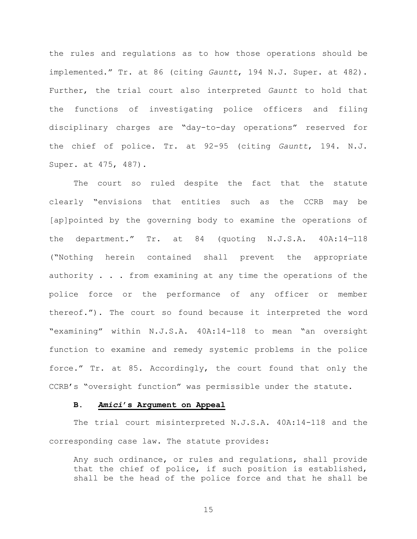the rules and regulations as to how those operations should be implemented." Tr. at 86 (citing *Gauntt*, 194 N.J. Super. at 482). Further, the trial court also interpreted *Gauntt* to hold that the functions of investigating police officers and filing disciplinary charges are "day-to-day operations" reserved for the chief of police. Tr. at 92-95 (citing *Gauntt*, 194. N.J. Super. at 475, 487).

The court so ruled despite the fact that the statute clearly "envisions that entities such as the CCRB may be [ap]pointed by the governing body to examine the operations of the department." Tr. at 84 (quoting N.J.S.A. 40A:14—118 ("Nothing herein contained shall prevent the appropriate authority . . . from examining at any time the operations of the police force or the performance of any officer or member thereof."). The court so found because it interpreted the word "examining" within N.J.S.A. 40A:14-118 to mean "an oversight function to examine and remedy systemic problems in the police force." Tr. at 85. Accordingly, the court found that only the CCRB's "oversight function" was permissible under the statute.

#### **B.** *Amici***'s Argument on Appeal**

The trial court misinterpreted N.J.S.A. 40A:14-118 and the corresponding case law. The statute provides:

Any such ordinance, or rules and regulations, shall provide that the chief of police, if such position is established, shall be the head of the police force and that he shall be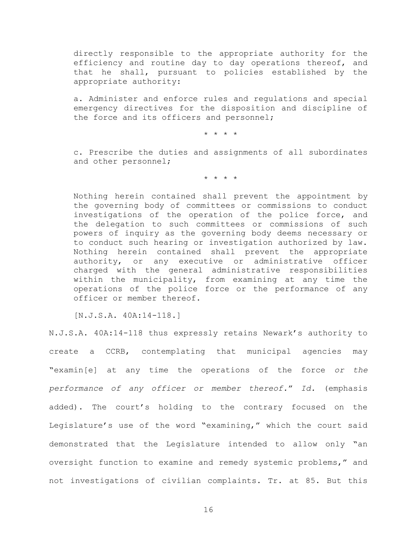directly responsible to the appropriate authority for the efficiency and routine day to day operations thereof, and that he shall, pursuant to policies established by the appropriate authority:

a. Administer and enforce rules and regulations and special emergency directives for the disposition and discipline of the force and its officers and personnel;

\* \* \* \*

c. Prescribe the duties and assignments of all subordinates and other personnel;

\* \* \* \*

Nothing herein contained shall prevent the appointment by the governing body of committees or commissions to conduct investigations of the operation of the police force, and the delegation to such committees or commissions of such powers of inquiry as the governing body deems necessary or to conduct such hearing or investigation authorized by law. Nothing herein contained shall prevent the appropriate authority, or any executive or administrative officer charged with the general administrative responsibilities within the municipality, from examining at any time the operations of the police force or the performance of any officer or member thereof.

[N.J.S.A. 40A:14-118.]

N.J.S.A. 40A:14-118 thus expressly retains Newark's authority to create a CCRB, contemplating that municipal agencies may "examin[e] at any time the operations of the force *or the performance of any officer or member thereof.*" *Id.* (emphasis added). The court's holding to the contrary focused on the Legislature's use of the word "examining," which the court said demonstrated that the Legislature intended to allow only "an oversight function to examine and remedy systemic problems," and not investigations of civilian complaints. Tr. at 85. But this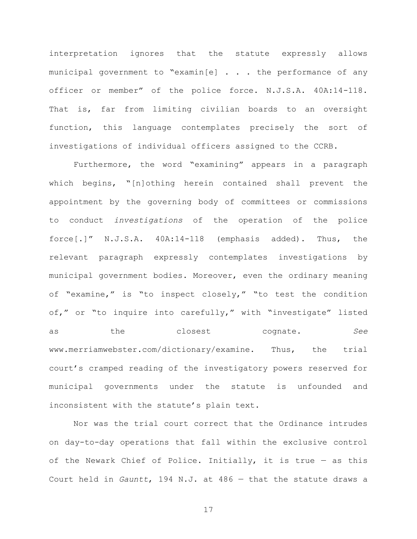interpretation ignores that the statute expressly allows municipal government to "examin[e] . . . the performance of any officer or member" of the police force. N.J.S.A. 40A:14-118. That is, far from limiting civilian boards to an oversight function, this language contemplates precisely the sort of investigations of individual officers assigned to the CCRB.

Furthermore, the word "examining" appears in a paragraph which begins, "[n]othing herein contained shall prevent the appointment by the governing body of committees or commissions to conduct *investigations* of the operation of the police force[.]" N.J.S.A. 40A:14-118 (emphasis added). Thus, the relevant paragraph expressly contemplates investigations by municipal government bodies. Moreover, even the ordinary meaning of "examine," is "to inspect closely," "to test the condition of," or "to inquire into carefully," with "investigate" listed as the closest cognate. *See*  www.merriamwebster.com/dictionary/examine. Thus, the trial court's cramped reading of the investigatory powers reserved for municipal governments under the statute is unfounded and inconsistent with the statute's plain text.

Nor was the trial court correct that the Ordinance intrudes on day-to-day operations that fall within the exclusive control of the Newark Chief of Police. Initially, it is true  $-$  as this Court held in *Gauntt*, 194 N.J. at 486 — that the statute draws a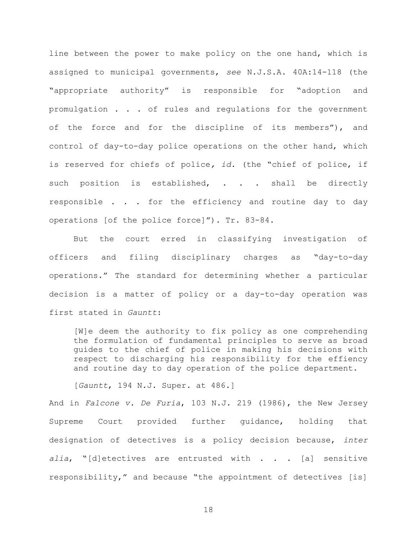line between the power to make policy on the one hand, which is assigned to municipal governments, *see* N.J.S.A. 40A:14-118 (the "appropriate authority" is responsible for "adoption and promulgation . . . of rules and regulations for the government of the force and for the discipline of its members"), and control of day-to-day police operations on the other hand, which is reserved for chiefs of police*, id.* (the "chief of police, if such position is established, . . . shall be directly responsible . . . for the efficiency and routine day to day operations [of the police force]"). Tr. 83-84.

But the court erred in classifying investigation of officers and filing disciplinary charges as "day-to-day operations." The standard for determining whether a particular decision is a matter of policy or a day-to-day operation was first stated in *Gauntt*:

[W]e deem the authority to fix policy as one comprehending the formulation of fundamental principles to serve as broad guides to the chief of police in making his decisions with respect to discharging his responsibility for the effiency and routine day to day operation of the police department.

[*Gauntt*, 194 N.J. Super. at 486.]

And in *Falcone v. De Furia*, 103 N.J. 219 (1986), the New Jersey Supreme Court provided further guidance, holding that designation of detectives is a policy decision because, *inter*  alia, "[d]etectives are entrusted with . . . [a] sensitive responsibility," and because "the appointment of detectives [is]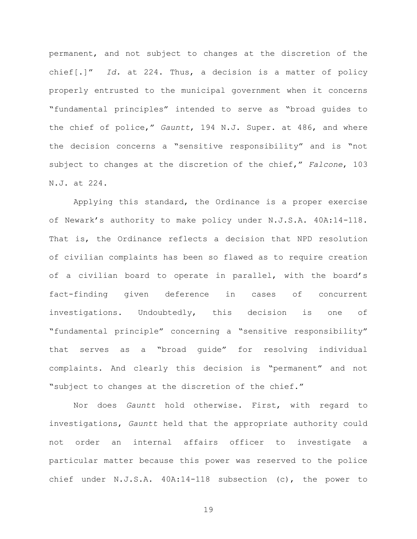permanent, and not subject to changes at the discretion of the chief[.]" *Id.* at 224. Thus, a decision is a matter of policy properly entrusted to the municipal government when it concerns "fundamental principles" intended to serve as "broad guides to the chief of police," *Gauntt*, 194 N.J. Super. at 486, and where the decision concerns a "sensitive responsibility" and is "not subject to changes at the discretion of the chief," *Falcone*, 103 N.J. at 224.

Applying this standard, the Ordinance is a proper exercise of Newark's authority to make policy under N.J.S.A. 40A:14-118. That is, the Ordinance reflects a decision that NPD resolution of civilian complaints has been so flawed as to require creation of a civilian board to operate in parallel, with the board's fact-finding given deference in cases of concurrent investigations. Undoubtedly, this decision is one of "fundamental principle" concerning a "sensitive responsibility" that serves as a "broad guide" for resolving individual complaints. And clearly this decision is "permanent" and not "subject to changes at the discretion of the chief."

Nor does *Gauntt* hold otherwise. First, with regard to investigations, *Gauntt* held that the appropriate authority could not order an internal affairs officer to investigate a particular matter because this power was reserved to the police chief under N.J.S.A. 40A:14-118 subsection (c), the power to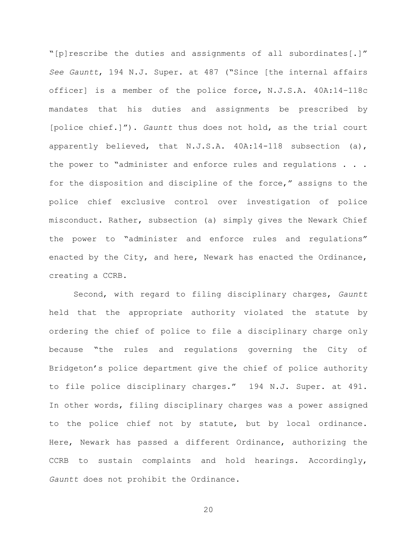"[p]rescribe the duties and assignments of all subordinates[.]" *See Gauntt*, 194 N.J. Super. at 487 ("Since [the internal affairs officer] is a member of the police force, N.J.S.A. 40A:14–118c mandates that his duties and assignments be prescribed by [police chief.]"). *Gauntt* thus does not hold, as the trial court apparently believed, that N.J.S.A. 40A:14-118 subsection (a), the power to "administer and enforce rules and regulations . . . for the disposition and discipline of the force," assigns to the police chief exclusive control over investigation of police misconduct. Rather, subsection (a) simply gives the Newark Chief the power to "administer and enforce rules and regulations" enacted by the City, and here, Newark has enacted the Ordinance, creating a CCRB.

Second, with regard to filing disciplinary charges, *Gauntt* held that the appropriate authority violated the statute by ordering the chief of police to file a disciplinary charge only because "the rules and regulations governing the City of Bridgeton's police department give the chief of police authority to file police disciplinary charges." 194 N.J. Super. at 491. In other words, filing disciplinary charges was a power assigned to the police chief not by statute, but by local ordinance. Here, Newark has passed a different Ordinance, authorizing the CCRB to sustain complaints and hold hearings. Accordingly, *Gauntt* does not prohibit the Ordinance.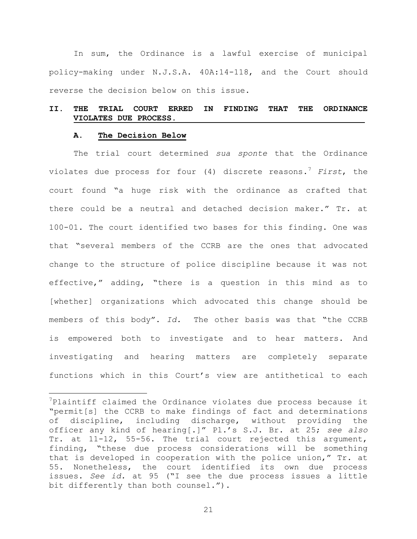In sum, the Ordinance is a lawful exercise of municipal policy-making under N.J.S.A. 40A:14-118, and the Court should reverse the decision below on this issue.

# **II. THE TRIAL COURT ERRED IN FINDING THAT THE ORDINANCE VIOLATES DUE PROCESS.**

#### **A. The Decision Below**

a<br>B

The trial court determined *sua sponte* that the Ordinance violates due process for four (4) discrete reasons.<sup>7</sup> *First*, the court found "a huge risk with the ordinance as crafted that there could be a neutral and detached decision maker." Tr. at 100-01. The court identified two bases for this finding. One was that "several members of the CCRB are the ones that advocated change to the structure of police discipline because it was not effective," adding, "there is a question in this mind as to [whether] organizations which advocated this change should be members of this body". *Id.* The other basis was that "the CCRB is empowered both to investigate and to hear matters. And investigating and hearing matters are completely separate functions which in this Court's view are antithetical to each

 $7$ Plaintiff claimed the Ordinance violates due process because it "permit[s] the CCRB to make findings of fact and determinations of discipline, including discharge, without providing the officer any kind of hearing[.]" Pl.'s S.J. Br. at 25; *see also*  Tr. at 11-12, 55-56. The trial court rejected this argument, finding, "these due process considerations will be something that is developed in cooperation with the police union," Tr. at 55. Nonetheless, the court identified its own due process issues. *See id.* at 95 ("I see the due process issues a little bit differently than both counsel.").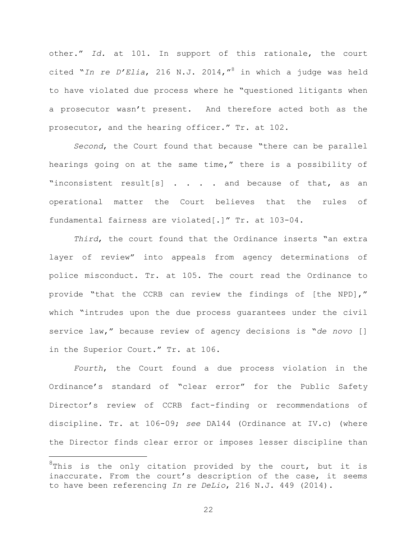other." *Id.* at 101. In support of this rationale, the court cited "*In re D'Elia*, 216 N.J. 2014,"<sup>8</sup> in which a judge was held to have violated due process where he "questioned litigants when a prosecutor wasn't present. And therefore acted both as the prosecutor, and the hearing officer." Tr. at 102.

*Second*, the Court found that because "there can be parallel hearings going on at the same time," there is a possibility of "inconsistent result[s] . . . . and because of that, as an operational matter the Court believes that the rules of fundamental fairness are violated[.]" Tr. at 103-04.

*Third*, the court found that the Ordinance inserts "an extra layer of review" into appeals from agency determinations of police misconduct. Tr. at 105. The court read the Ordinance to provide "that the CCRB can review the findings of [the NPD]," which "intrudes upon the due process guarantees under the civil service law," because review of agency decisions is "*de novo* [] in the Superior Court." Tr. at 106.

*Fourth*, the Court found a due process violation in the Ordinance's standard of "clear error" for the Public Safety Director's review of CCRB fact-finding or recommendations of discipline. Tr. at 106-09; *see* DA144 (Ordinance at IV.c) (where the Director finds clear error or imposes lesser discipline than

a<br>B

 $8$ This is the only citation provided by the court, but it is inaccurate. From the court's description of the case, it seems to have been referencing *In re DeLio*, 216 N.J. 449 (2014).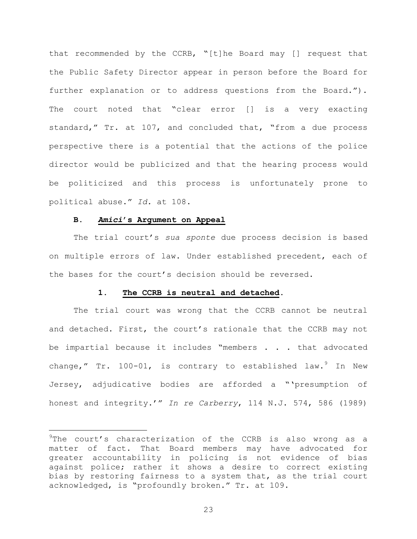that recommended by the CCRB, "[t]he Board may [] request that the Public Safety Director appear in person before the Board for further explanation or to address questions from the Board."). The court noted that "clear error [] is a very exacting standard," Tr. at 107, and concluded that, "from a due process perspective there is a potential that the actions of the police director would be publicized and that the hearing process would be politicized and this process is unfortunately prone to political abuse." *Id.* at 108.

### **B.** *Amici***'s Argument on Appeal**

L,

The trial court's *sua sponte* due process decision is based on multiple errors of law. Under established precedent, each of the bases for the court's decision should be reversed.

### **1. The CCRB is neutral and detached.**

The trial court was wrong that the CCRB cannot be neutral and detached. First, the court's rationale that the CCRB may not be impartial because it includes "members . . . that advocated change," Tr. 100-01, is contrary to established law. $9$  In New Jersey, adjudicative bodies are afforded a "'presumption of honest and integrity.'" *In re Carberry*, 114 N.J. 574, 586 (1989)

 $9$ The court's characterization of the CCRB is also wrong as a matter of fact. That Board members may have advocated for greater accountability in policing is not evidence of bias against police; rather it shows a desire to correct existing bias by restoring fairness to a system that, as the trial court acknowledged, is "profoundly broken." Tr. at 109.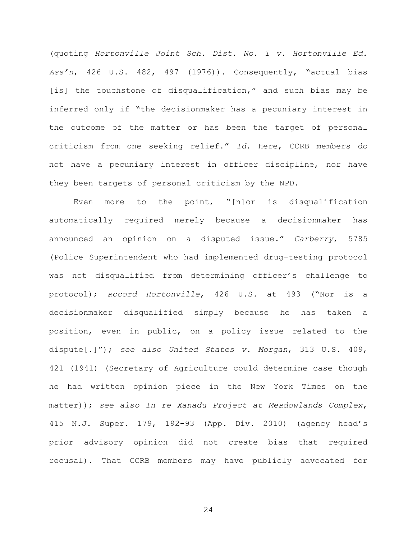(quoting *Hortonville Joint Sch. Dist. No. 1 v. Hortonville Ed. Ass'n*, 426 U.S. 482, 497 (1976)). Consequently, "actual bias [is] the touchstone of disqualification," and such bias may be inferred only if "the decisionmaker has a pecuniary interest in the outcome of the matter or has been the target of personal criticism from one seeking relief." *Id*. Here, CCRB members do not have a pecuniary interest in officer discipline, nor have they been targets of personal criticism by the NPD.

Even more to the point, "[n]or is disqualification automatically required merely because a decisionmaker has announced an opinion on a disputed issue." *Carberry*, 5785 (Police Superintendent who had implemented drug-testing protocol was not disqualified from determining officer's challenge to protocol); *accord Hortonville*, 426 U.S. at 493 ("Nor is a decisionmaker disqualified simply because he has taken a position, even in public, on a policy issue related to the dispute[.]"); *see also United States v. Morgan*, 313 U.S. 409, 421 (1941) (Secretary of Agriculture could determine case though he had written opinion piece in the New York Times on the matter)); *see also In re Xanadu Project at Meadowlands Complex*, 415 N.J. Super. 179, 192-93 (App. Div. 2010) (agency head's prior advisory opinion did not create bias that required recusal). That CCRB members may have publicly advocated for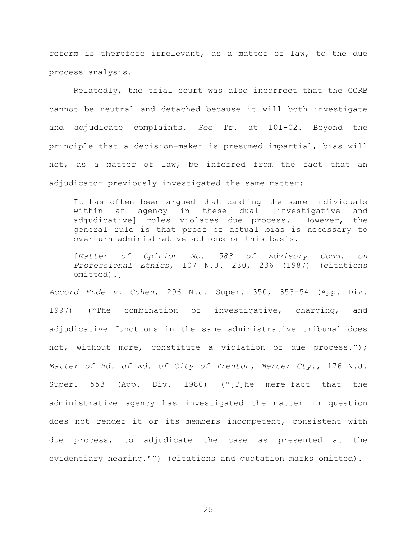reform is therefore irrelevant, as a matter of law, to the due process analysis.

Relatedly, the trial court was also incorrect that the CCRB cannot be neutral and detached because it will both investigate and adjudicate complaints. *See* Tr. at 101-02. Beyond the principle that a decision-maker is presumed impartial, bias will not, as a matter of law, be inferred from the fact that an adjudicator previously investigated the same matter:

It has often been argued that casting the same individuals within an agency in these dual [investigative and adjudicative] roles violates due process. However, the general rule is that proof of actual bias is necessary to overturn administrative actions on this basis.

[*Matter of Opinion No. 583 of Advisory Comm. on Professional Ethics*, 107 N.J. 230, 236 (1987) (citations omitted).]

*Accord Ende v. Cohen*, 296 N.J. Super. 350, 353-54 (App. Div. 1997) ("The combination of investigative, charging, and adjudicative functions in the same administrative tribunal does not, without more, constitute a violation of due process."); *Matter of Bd. of Ed. of City of Trenton, Mercer Cty.*, 176 N.J. Super. 553 (App. Div. 1980) ("[T]he mere fact that the administrative agency has investigated the matter in question does not render it or its members incompetent, consistent with due process, to adjudicate the case as presented at the evidentiary hearing.'") (citations and quotation marks omitted).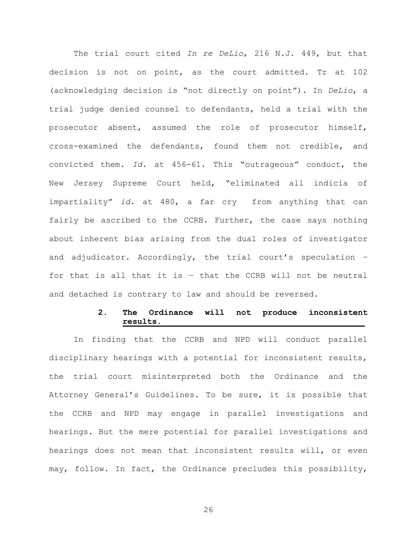The trial court cited *In re DeLio*, 216 N.J. 449, but that decision is not on point, as the court admitted. Tr at 102 (acknowledging decision is "not directly on point"). In *DeLio*, a trial judge denied counsel to defendants, held a trial with the prosecutor absent, assumed the role of prosecutor himself, cross-examined the defendants, found them not credible, and convicted them. *Id*. at 456-61. This "outrageous" conduct, the New Jersey Supreme Court held, "eliminated all indicia of impartiality" *id.* at 480, a far cry from anything that can fairly be ascribed to the CCRB. Further, the case says nothing about inherent bias arising from the dual roles of investigator and adjudicator. Accordingly, the trial court's speculation – for that is all that it is – that the CCRB will not be neutral and detached is contrary to law and should be reversed.

### **2. The Ordinance will not produce inconsistent results.**

In finding that the CCRB and NPD will conduct parallel disciplinary hearings with a potential for inconsistent results, the trial court misinterpreted both the Ordinance and the Attorney General's Guidelines. To be sure, it is possible that the CCRB and NPD may engage in parallel investigations and hearings. But the mere potential for parallel investigations and hearings does not mean that inconsistent results will, or even may, follow. In fact, the Ordinance precludes this possibility,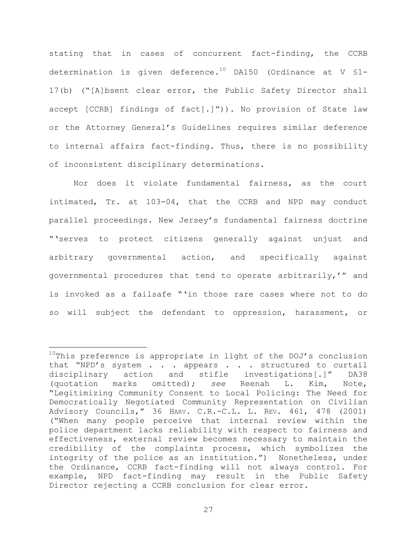stating that in cases of concurrent fact-finding, the CCRB determination is given deference.<sup>10</sup> DA150 (Ordinance at V  $$1-$ 17(b) ("[A]bsent clear error, the Public Safety Director shall accept [CCRB] findings of  $fact[.]''$ )). No provision of State law or the Attorney General's Guidelines requires similar deference to internal affairs fact-finding. Thus, there is no possibility of inconsistent disciplinary determinations.

Nor does it violate fundamental fairness, as the court intimated, Tr. at 103-04, that the CCRB and NPD may conduct parallel proceedings. New Jersey's fundamental fairness doctrine "'serves to protect citizens generally against unjust and arbitrary governmental action, and specifically against governmental procedures that tend to operate arbitrarily,'" and is invoked as a failsafe "'in those rare cases where not to do so will subject the defendant to oppression, harassment, or

a<br>B

 $10$ This preference is appropriate in light of the DOJ's conclusion that "NPD's system . . . appears . . . structured to curtail disciplinary action and stifle investigations[.]" DA38 (quotation marks omitted); *see* Reenah L. Kim, Note, "Legitimizing Community Consent to Local Policing: The Need for Democratically Negotiated Community Representation on Civilian Advisory Councils," 36 HARV. C.R.-C.L. L. REV. 461, 478 (2001) ("When many people perceive that internal review within the police department lacks reliability with respect to fairness and effectiveness, external review becomes necessary to maintain the credibility of the complaints process, which symbolizes the integrity of the police as an institution.") Nonetheless, under the Ordinance, CCRB fact-finding will not always control. For example, NPD fact-finding may result in the Public Safety Director rejecting a CCRB conclusion for clear error.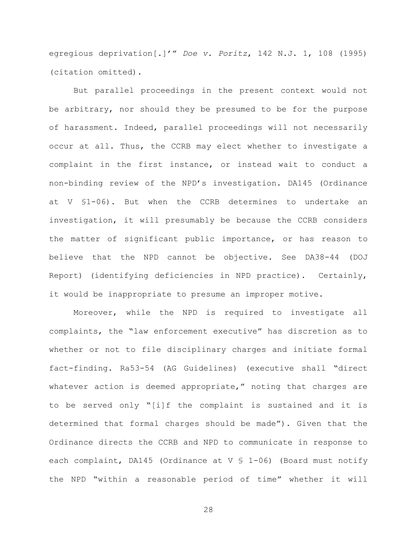egregious deprivation[.]'" *Doe v. Poritz*, 142 N.J. 1, 108 (1995) (citation omitted).

But parallel proceedings in the present context would not be arbitrary, nor should they be presumed to be for the purpose of harassment. Indeed, parallel proceedings will not necessarily occur at all. Thus, the CCRB may elect whether to investigate a complaint in the first instance, or instead wait to conduct a non-binding review of the NPD's investigation. DA145 (Ordinance at V §1-06). But when the CCRB determines to undertake an investigation, it will presumably be because the CCRB considers the matter of significant public importance, or has reason to believe that the NPD cannot be objective. See DA38-44 (DOJ Report) (identifying deficiencies in NPD practice). Certainly, it would be inappropriate to presume an improper motive.

Moreover, while the NPD is required to investigate all complaints, the "law enforcement executive" has discretion as to whether or not to file disciplinary charges and initiate formal fact-finding. Ra53-54 (AG Guidelines) (executive shall "direct whatever action is deemed appropriate," noting that charges are to be served only "[i]f the complaint is sustained and it is determined that formal charges should be made"). Given that the Ordinance directs the CCRB and NPD to communicate in response to each complaint, DA145 (Ordinance at V § 1-06) (Board must notify the NPD "within a reasonable period of time" whether it will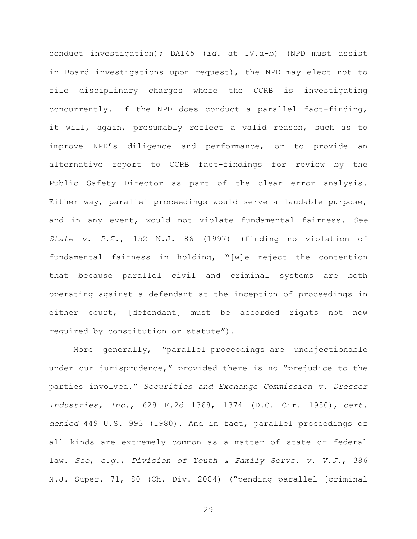conduct investigation); DA145 (*id.* at IV.a-b) (NPD must assist in Board investigations upon request), the NPD may elect not to file disciplinary charges where the CCRB is investigating concurrently. If the NPD does conduct a parallel fact-finding, it will, again, presumably reflect a valid reason, such as to improve NPD's diligence and performance, or to provide an alternative report to CCRB fact-findings for review by the Public Safety Director as part of the clear error analysis. Either way, parallel proceedings would serve a laudable purpose, and in any event, would not violate fundamental fairness. *See State v. P.Z.*, 152 N.J. 86 (1997) (finding no violation of fundamental fairness in holding, "[w]e reject the contention that because parallel civil and criminal systems are both operating against a defendant at the inception of proceedings in either court, [defendant] must be accorded rights not now required by constitution or statute").

More generally, "parallel proceedings are unobjectionable under our jurisprudence," provided there is no "prejudice to the parties involved." *Securities and Exchange Commission v. Dresser Industries, Inc.*, 628 F.2d 1368, 1374 (D.C. Cir. 1980), *cert. denied* 449 U.S. 993 (1980). And in fact, parallel proceedings of all kinds are extremely common as a matter of state or federal law. *See*, *e.g.*, *Division of Youth & Family Servs. v. V.J.*, 386 N.J. Super. 71, 80 (Ch. Div. 2004) ("pending parallel [criminal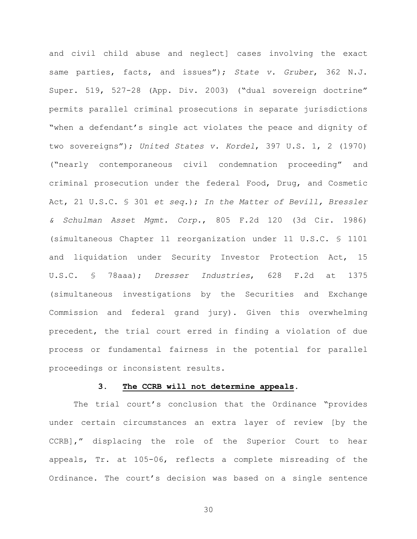and civil child abuse and neglect] cases involving the exact same parties, facts, and issues"); *State v. Gruber*, 362 N.J. Super. 519, 527-28 (App. Div. 2003) ("dual sovereign doctrine" permits parallel criminal prosecutions in separate jurisdictions "when a defendant's single act violates the peace and dignity of two sovereigns"); *United States v. Kordel*, 397 U.S. 1, 2 (1970) ("nearly contemporaneous civil condemnation proceeding" and criminal prosecution under the federal Food, Drug, and Cosmetic Act, 21 U.S.C. § 301 *et seq.*); *In the Matter of Bevill, Bressler & Schulman Asset Mgmt. Corp.*, 805 F.2d 120 (3d Cir. 1986) (simultaneous Chapter 11 reorganization under 11 U.S.C. § 1101 and liquidation under Security Investor Protection Act, 15 U.S.C. § 78aaa); *Dresser Industries*, 628 F.2d at 1375 (simultaneous investigations by the Securities and Exchange Commission and federal grand jury). Given this overwhelming precedent, the trial court erred in finding a violation of due process or fundamental fairness in the potential for parallel proceedings or inconsistent results.

### **3. The CCRB will not determine appeals.**

The trial court's conclusion that the Ordinance "provides under certain circumstances an extra layer of review [by the CCRB]," displacing the role of the Superior Court to hear appeals, Tr. at 105-06, reflects a complete misreading of the Ordinance. The court's decision was based on a single sentence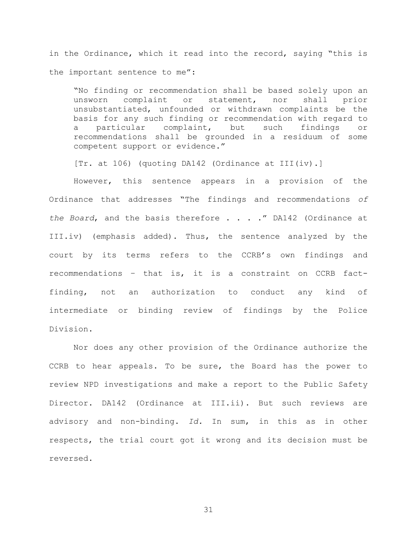in the Ordinance, which it read into the record, saying "this is the important sentence to me":

"No finding or recommendation shall be based solely upon an unsworn complaint or statement, nor shall prior unsubstantiated, unfounded or withdrawn complaints be the basis for any such finding or recommendation with regard to a particular complaint, but such findings or recommendations shall be grounded in a residuum of some competent support or evidence."

[Tr. at 106) (quoting DA142 (Ordinance at III(iv).]

However, this sentence appears in a provision of the Ordinance that addresses "The findings and recommendations *of the Board*, and the basis therefore . . . ." DA142 (Ordinance at III.iv) (emphasis added). Thus, the sentence analyzed by the court by its terms refers to the CCRB's own findings and recommendations – that is, it is a constraint on CCRB factfinding, not an authorization to conduct any kind of intermediate or binding review of findings by the Police Division.

Nor does any other provision of the Ordinance authorize the CCRB to hear appeals. To be sure, the Board has the power to review NPD investigations and make a report to the Public Safety Director. DA142 (Ordinance at III.ii). But such reviews are advisory and non-binding. *Id.* In sum, in this as in other respects, the trial court got it wrong and its decision must be reversed.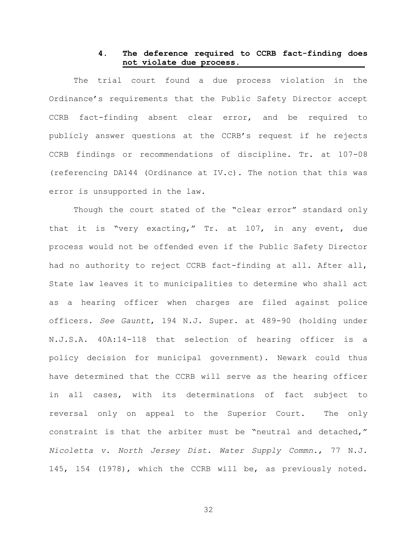### **4. The deference required to CCRB fact-finding does not violate due process.**

The trial court found a due process violation in the Ordinance's requirements that the Public Safety Director accept CCRB fact-finding absent clear error, and be required to publicly answer questions at the CCRB's request if he rejects CCRB findings or recommendations of discipline. Tr. at 107-08 (referencing DA144 (Ordinance at IV.c). The notion that this was error is unsupported in the law.

Though the court stated of the "clear error" standard only that it is "very exacting," Tr. at 107, in any event, due process would not be offended even if the Public Safety Director had no authority to reject CCRB fact-finding at all. After all, State law leaves it to municipalities to determine who shall act as a hearing officer when charges are filed against police officers. *See Gauntt*, 194 N.J. Super. at 489-90 (holding under N.J.S.A. 40A:14-118 that selection of hearing officer is a policy decision for municipal government). Newark could thus have determined that the CCRB will serve as the hearing officer in all cases, with its determinations of fact subject to reversal only on appeal to the Superior Court. The only constraint is that the arbiter must be "neutral and detached," *Nicoletta v. North Jersey Dist. Water Supply Commn.*, 77 N.J. 145, 154 (1978), which the CCRB will be, as previously noted.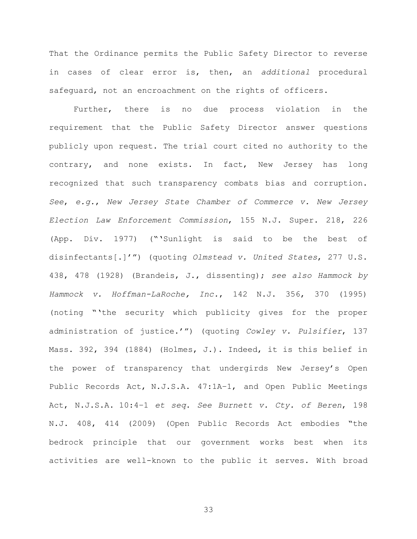That the Ordinance permits the Public Safety Director to reverse in cases of clear error is, then, an *additional* procedural safeguard, not an encroachment on the rights of officers.

Further, there is no due process violation in the requirement that the Public Safety Director answer questions publicly upon request. The trial court cited no authority to the contrary, and none exists. In fact, New Jersey has long recognized that such transparency combats bias and corruption. *See*, *e.g.*, *New Jersey State Chamber of Commerce v. New Jersey Election Law Enforcement Commission*, 155 N.J. Super. 218, 226 (App. Div. 1977) ("'Sunlight is said to be the best of disinfectants[.]'") (quoting *Olmstead v. United States*, 277 U.S. 438, 478 (1928) (Brandeis, J., dissenting); *see also Hammock by Hammock v. Hoffman-LaRoche, Inc.*, 142 N.J. 356, 370 (1995) (noting "'the security which publicity gives for the proper administration of justice.'") (quoting *Cowley v. Pulsifier*, 137 Mass. 392, 394 (1884) (Holmes, J.). Indeed, it is this belief in the power of transparency that undergirds New Jersey's Open Public Records Act, N.J.S.A. 47:1A–1, and Open Public Meetings Act, N.J.S.A. 10:4–1 *et seq*. *See Burnett v. Cty. of Beren*, 198 N.J. 408, 414 (2009) (Open Public Records Act embodies "the bedrock principle that our government works best when its activities are well-known to the public it serves. With broad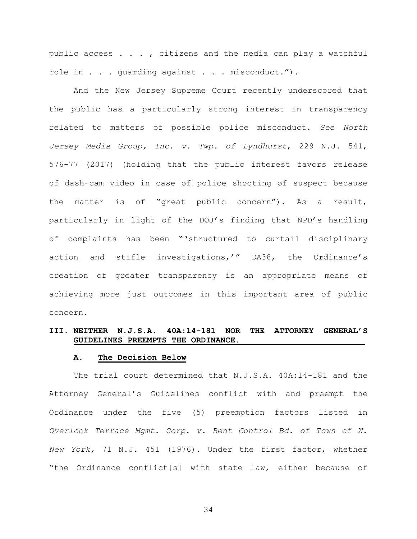public access . . . , citizens and the media can play a watchful role in . . . quarding against . . . misconduct.").

And the New Jersey Supreme Court recently underscored that the public has a particularly strong interest in transparency related to matters of possible police misconduct. *See North Jersey Media Group, Inc. v. Twp. of Lyndhurst*, 229 N.J. 541, 576-77 (2017) (holding that the public interest favors release of dash-cam video in case of police shooting of suspect because the matter is of "great public concern"). As a result, particularly in light of the DOJ's finding that NPD's handling of complaints has been "'structured to curtail disciplinary action and stifle investigations,'" DA38, the Ordinance's creation of greater transparency is an appropriate means of achieving more just outcomes in this important area of public concern.

### **III. NEITHER N.J.S.A. 40A:14-181 NOR THE ATTORNEY GENERAL'S GUIDELINES PREEMPTS THE ORDINANCE.**

#### **A. The Decision Below**

The trial court determined that N.J.S.A. 40A:14-181 and the Attorney General's Guidelines conflict with and preempt the Ordinance under the five (5) preemption factors listed in *Overlook Terrace Mgmt. Corp. v. Rent Control Bd. of Town of W. New York,* 71 N.J. 451 (1976). Under the first factor, whether "the Ordinance conflict[s] with state law, either because of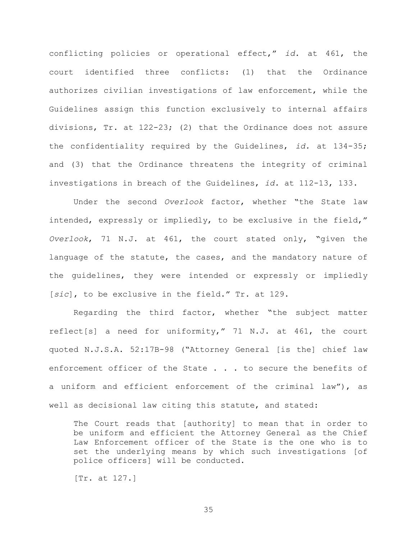conflicting policies or operational effect," *id.* at 461, the court identified three conflicts: (1) that the Ordinance authorizes civilian investigations of law enforcement, while the Guidelines assign this function exclusively to internal affairs divisions, Tr. at 122-23; (2) that the Ordinance does not assure the confidentiality required by the Guidelines, *id.* at 134-35; and (3) that the Ordinance threatens the integrity of criminal investigations in breach of the Guidelines, *id.* at 112-13, 133.

Under the second *Overlook* factor, whether "the State law intended, expressly or impliedly, to be exclusive in the field," *Overlook*, 71 N.J. at 461, the court stated only, "given the language of the statute, the cases, and the mandatory nature of the guidelines, they were intended or expressly or impliedly [*sic*], to be exclusive in the field." Tr. at 129.

Regarding the third factor, whether "the subject matter reflect[s] a need for uniformity," 71 N.J. at 461, the court quoted N.J.S.A. 52:17B-98 ("Attorney General [is the] chief law enforcement officer of the State . . . to secure the benefits of a uniform and efficient enforcement of the criminal law"), as well as decisional law citing this statute, and stated:

The Court reads that [authority] to mean that in order to be uniform and efficient the Attorney General as the Chief Law Enforcement officer of the State is the one who is to set the underlying means by which such investigations [of police officers] will be conducted.

[Tr. at 127.]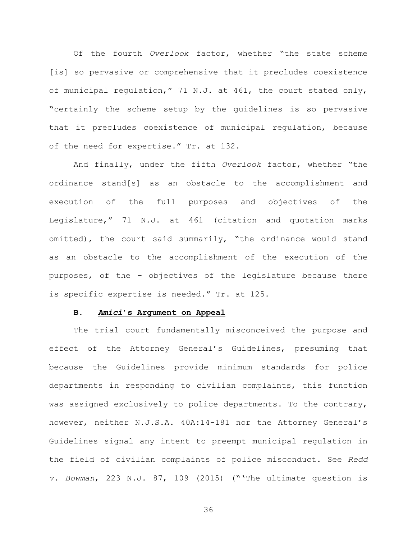Of the fourth *Overlook* factor, whether "the state scheme [is] so pervasive or comprehensive that it precludes coexistence of municipal regulation," 71 N.J. at 461, the court stated only, "certainly the scheme setup by the guidelines is so pervasive that it precludes coexistence of municipal regulation, because of the need for expertise." Tr. at 132.

And finally, under the fifth *Overlook* factor, whether "the ordinance stand[s] as an obstacle to the accomplishment and execution of the full purposes and objectives of the Legislature," 71 N.J. at 461 (citation and quotation marks omitted), the court said summarily, "the ordinance would stand as an obstacle to the accomplishment of the execution of the purposes, of the – objectives of the legislature because there is specific expertise is needed." Tr. at 125.

### **B.** *Amici***'s Argument on Appeal**

The trial court fundamentally misconceived the purpose and effect of the Attorney General's Guidelines, presuming that because the Guidelines provide minimum standards for police departments in responding to civilian complaints, this function was assigned exclusively to police departments. To the contrary, however, neither N.J.S.A. 40A:14-181 nor the Attorney General's Guidelines signal any intent to preempt municipal regulation in the field of civilian complaints of police misconduct. See *Redd v. Bowman*, 223 N.J. 87, 109 (2015) ("'The ultimate question is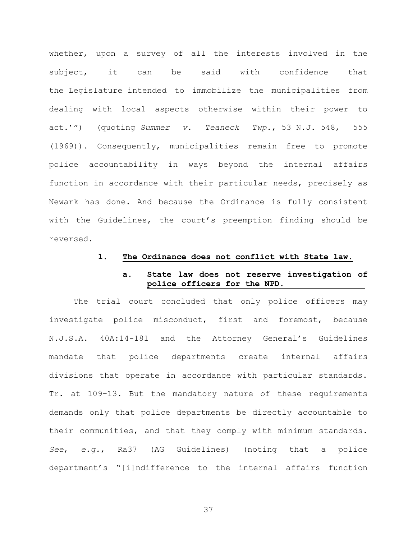whether, upon a survey of all the interests involved in the subject, it can be said with confidence that the Legislature intended to immobilize the municipalities from dealing with local aspects otherwise within their power to act.'") (quoting *Summer v. Teaneck Twp.*, 53 N.J. 548, 555 (1969)). Consequently, municipalities remain free to promote police accountability in ways beyond the internal affairs function in accordance with their particular needs, precisely as Newark has done. And because the Ordinance is fully consistent with the Guidelines, the court's preemption finding should be reversed.

### **1. The Ordinance does not conflict with State law.**

### **a. State law does not reserve investigation of police officers for the NPD.**

The trial court concluded that only police officers may investigate police misconduct, first and foremost, because N.J.S.A. 40A:14-181 and the Attorney General's Guidelines mandate that police departments create internal affairs divisions that operate in accordance with particular standards. Tr. at 109-13. But the mandatory nature of these requirements demands only that police departments be directly accountable to their communities, and that they comply with minimum standards. *See*, *e.g.*, Ra37 (AG Guidelines) (noting that a police department's "[i]ndifference to the internal affairs function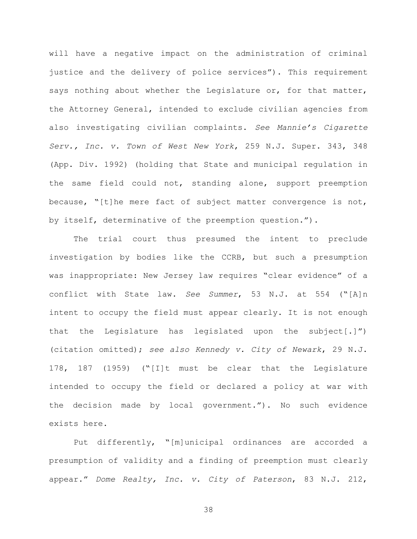will have a negative impact on the administration of criminal justice and the delivery of police services"). This requirement says nothing about whether the Legislature or, for that matter, the Attorney General, intended to exclude civilian agencies from also investigating civilian complaints. *See Mannie's Cigarette Serv., Inc. v. Town of West New York*, 259 N.J. Super. 343, 348 (App. Div. 1992) (holding that State and municipal regulation in the same field could not, standing alone, support preemption because, "[t]he mere fact of subject matter convergence is not, by itself, determinative of the preemption question.").

The trial court thus presumed the intent to preclude investigation by bodies like the CCRB, but such a presumption was inappropriate: New Jersey law requires "clear evidence" of a conflict with State law. *See Summer*, 53 N.J. at 554 ("[A]n intent to occupy the field must appear clearly. It is not enough that the Legislature has legislated upon the subject[.]") (citation omitted); *see also Kennedy v. City of Newark*, 29 N.J. 178, 187 (1959) ("[I]t must be clear that the Legislature intended to occupy the field or declared a policy at war with the decision made by local government."). No such evidence exists here.

Put differently, "[m]unicipal ordinances are accorded a presumption of validity and a finding of preemption must clearly appear." *Dome Realty, Inc. v. City of Paterson*, 83 N.J. 212,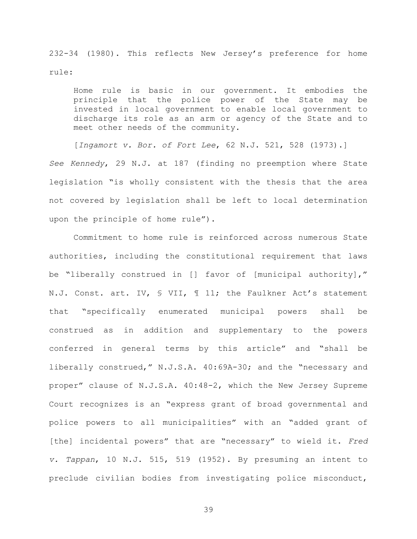232-34 (1980). This reflects New Jersey's preference for home rule:

Home rule is basic in our government. It embodies the principle that the police power of the State may be invested in local government to enable local government to discharge its role as an arm or agency of the State and to meet other needs of the community.

[*Ingamort v. Bor. of Fort Lee*, 62 N.J. 521, 528 (1973).] *See Kennedy*, 29 N.J. at 187 (finding no preemption where State legislation "is wholly consistent with the thesis that the area not covered by legislation shall be left to local determination upon the principle of home rule").

Commitment to home rule is reinforced across numerous State authorities, including the constitutional requirement that laws be "liberally construed in [] favor of [municipal authority]," N.J. Const. art. IV, § VII, ¶ 11; the Faulkner Act's statement that "specifically enumerated municipal powers shall be construed as in addition and supplementary to the powers conferred in general terms by this article" and "shall be liberally construed," N.J.S.A. 40:69A-30; and the "necessary and proper" clause of N.J.S.A. 40:48-2, which the New Jersey Supreme Court recognizes is an "express grant of broad governmental and police powers to all municipalities" with an "added grant of [the] incidental powers" that are "necessary" to wield it. *Fred v. Tappan*, 10 N.J. 515, 519 (1952). By presuming an intent to preclude civilian bodies from investigating police misconduct,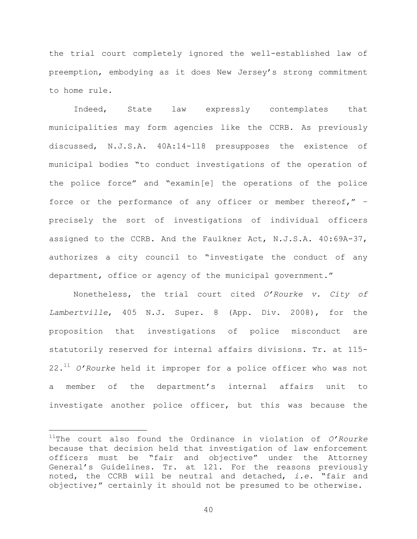the trial court completely ignored the well-established law of preemption, embodying as it does New Jersey's strong commitment to home rule.

Indeed, State law expressly contemplates that municipalities may form agencies like the CCRB. As previously discussed, N.J.S.A. 40A:14-118 presupposes the existence of municipal bodies "to conduct investigations of the operation of the police force" and "examin[e] the operations of the police force or the performance of any officer or member thereof," – precisely the sort of investigations of individual officers assigned to the CCRB. And the Faulkner Act, N.J.S.A. 40:69A-37, authorizes a city council to "investigate the conduct of any department, office or agency of the municipal government."

Nonetheless, the trial court cited *O'Rourke v. City of Lambertville*, 405 N.J. Super. 8 (App. Div. 2008), for the proposition that investigations of police misconduct are statutorily reserved for internal affairs divisions. Tr. at 115- 22.<sup>11</sup> *O'Rourke* held it improper for a police officer who was not a member of the department's internal affairs unit to investigate another police officer, but this was because the

L,

<sup>11</sup>The court also found the Ordinance in violation of *O'Rourke* because that decision held that investigation of law enforcement officers must be "fair and objective" under the Attorney General's Guidelines. Tr. at 121. For the reasons previously noted, the CCRB will be neutral and detached, *i.e.* "fair and objective;" certainly it should not be presumed to be otherwise.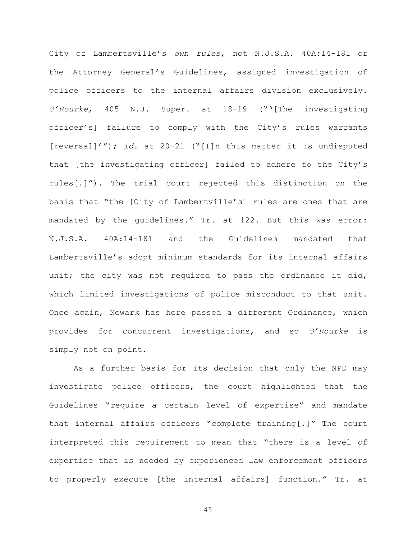City of Lambertsville's *own rules*, not N.J.S.A. 40A:14-181 or the Attorney General's Guidelines, assigned investigation of police officers to the internal affairs division exclusively. *O'Rourke*, 405 N.J. Super. at 18-19 ("'[The investigating officer's] failure to comply with the City's rules warrants [reversal]'"); *id.* at 20-21 ("[I]n this matter it is undisputed that [the investigating officer] failed to adhere to the City's rules[.]"). The trial court rejected this distinction on the basis that "the [City of Lambertville's] rules are ones that are mandated by the guidelines." Tr. at 122. But this was error: N.J.S.A. 40A:14-181 and the Guidelines mandated that Lambertsville's adopt minimum standards for its internal affairs unit; the city was not required to pass the ordinance it did, which limited investigations of police misconduct to that unit. Once again, Newark has here passed a different Ordinance, which provides for concurrent investigations, and so *O'Rourke* is simply not on point.

As a further basis for its decision that only the NPD may investigate police officers, the court highlighted that the Guidelines "require a certain level of expertise" and mandate that internal affairs officers "complete training[.]" The court interpreted this requirement to mean that "there is a level of expertise that is needed by experienced law enforcement officers to properly execute [the internal affairs] function." Tr. at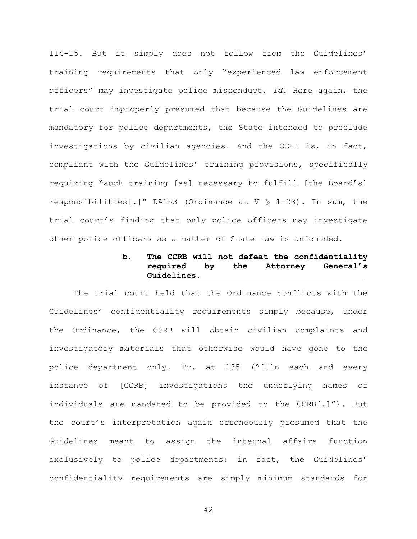114-15. But it simply does not follow from the Guidelines' training requirements that only "experienced law enforcement officers" may investigate police misconduct. *Id.* Here again, the trial court improperly presumed that because the Guidelines are mandatory for police departments, the State intended to preclude investigations by civilian agencies. And the CCRB is, in fact, compliant with the Guidelines' training provisions, specifically requiring "such training [as] necessary to fulfill [the Board's] responsibilities[.]" DA153 (Ordinance at V § 1-23). In sum, the trial court's finding that only police officers may investigate other police officers as a matter of State law is unfounded.

# **b. The CCRB will not defeat the confidentiality required by the Attorney General's Guidelines.**

The trial court held that the Ordinance conflicts with the Guidelines' confidentiality requirements simply because, under the Ordinance, the CCRB will obtain civilian complaints and investigatory materials that otherwise would have gone to the police department only. Tr. at 135 ("[I]n each and every instance of [CCRB] investigations the underlying names of individuals are mandated to be provided to the CCRB[.]"). But the court's interpretation again erroneously presumed that the Guidelines meant to assign the internal affairs function exclusively to police departments; in fact, the Guidelines' confidentiality requirements are simply minimum standards for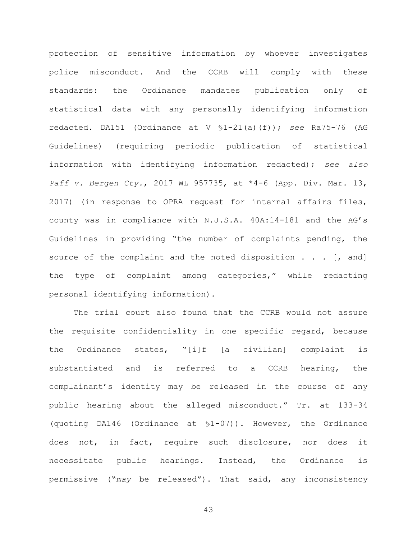protection of sensitive information by whoever investigates police misconduct. And the CCRB will comply with these standards: the Ordinance mandates publication only of statistical data with any personally identifying information redacted. DA151 (Ordinance at V §1-21(a)(f)); *see* Ra75-76 (AG Guidelines) (requiring periodic publication of statistical information with identifying information redacted); *see also Paff v. Bergen Cty.*, 2017 WL 957735, at \*4-6 (App. Div. Mar. 13, 2017) (in response to OPRA request for internal affairs files, county was in compliance with N.J.S.A. 40A:14-181 and the AG's Guidelines in providing "the number of complaints pending, the source of the complaint and the noted disposition  $\ldots$  [, and] the type of complaint among categories," while redacting personal identifying information).

The trial court also found that the CCRB would not assure the requisite confidentiality in one specific regard, because the Ordinance states, "[i]f [a civilian] complaint is substantiated and is referred to a CCRB hearing, the complainant's identity may be released in the course of any public hearing about the alleged misconduct." Tr. at 133-34 (quoting DA146 (Ordinance at §1-07)). However, the Ordinance does not, in fact, require such disclosure, nor does it necessitate public hearings. Instead, the Ordinance is permissive ("*may* be released"). That said, any inconsistency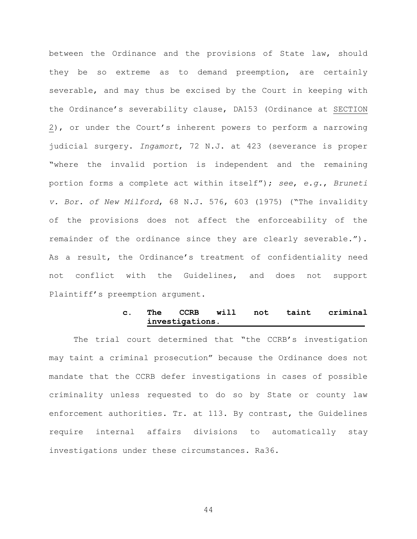$\geq$ ), or under the Court's inherent powers to perform a narrowing between the Ordinance and the provisions of State law, should they be so extreme as to demand preemption, are certainly severable, and may thus be excised by the Court in keeping with the Ordinance's severability clause, DA153 (Ordinance at SECTION judicial surgery. *Ingamort*, 72 N.J. at 423 (severance is proper "where the invalid portion is independent and the remaining portion forms a complete act within itself"); *see*, *e.g.*, *Bruneti v. Bor. of New Milford*, 68 N.J. 576, 603 (1975) ("The invalidity of the provisions does not affect the enforceability of the remainder of the ordinance since they are clearly severable."). As a result, the Ordinance's treatment of confidentiality need not conflict with the Guidelines, and does not support Plaintiff's preemption argument.

### **c. The CCRB will not taint criminal investigations.**

The trial court determined that "the CCRB's investigation may taint a criminal prosecution" because the Ordinance does not mandate that the CCRB defer investigations in cases of possible criminality unless requested to do so by State or county law enforcement authorities. Tr. at 113. By contrast, the Guidelines require internal affairs divisions to automatically stay investigations under these circumstances. Ra36.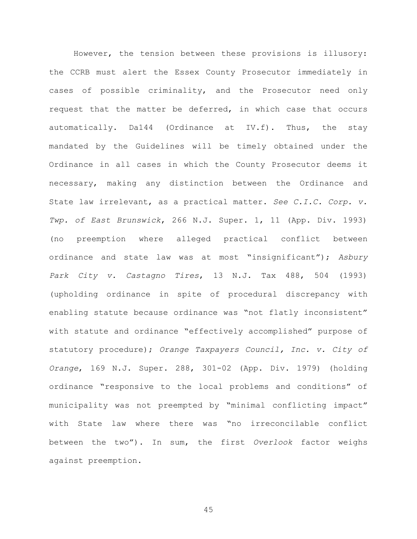However, the tension between these provisions is illusory: the CCRB must alert the Essex County Prosecutor immediately in cases of possible criminality, and the Prosecutor need only request that the matter be deferred, in which case that occurs automatically. Da144 (Ordinance at IV.f). Thus, the stay mandated by the Guidelines will be timely obtained under the Ordinance in all cases in which the County Prosecutor deems it necessary, making any distinction between the Ordinance and State law irrelevant, as a practical matter. *See C.I.C. Corp. v. Twp. of East Brunswick*, 266 N.J. Super. 1, 11 (App. Div. 1993) (no preemption where alleged practical conflict between ordinance and state law was at most "insignificant"); *Asbury Park City v. Castagno Tires*, 13 N.J. Tax 488, 504 (1993) (upholding ordinance in spite of procedural discrepancy with enabling statute because ordinance was "not flatly inconsistent" with statute and ordinance "effectively accomplished" purpose of statutory procedure); *Orange Taxpayers Council, Inc. v. City of Orange*, 169 N.J. Super. 288, 301-02 (App. Div. 1979) (holding ordinance "responsive to the local problems and conditions" of municipality was not preempted by "minimal conflicting impact" with State law where there was "no irreconcilable conflict between the two"). In sum, the first *Overlook* factor weighs against preemption.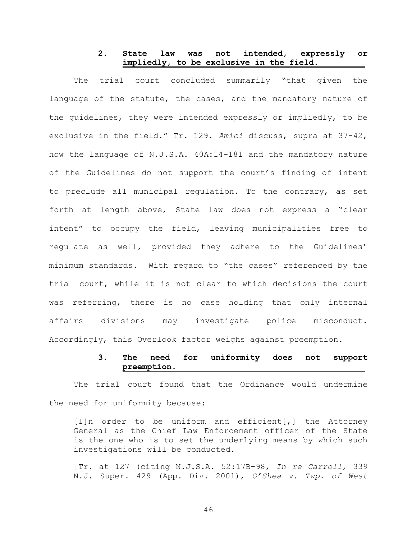## **2. State law was not intended, expressly or impliedly, to be exclusive in the field.**

The trial court concluded summarily "that given the language of the statute, the cases, and the mandatory nature of the guidelines, they were intended expressly or impliedly, to be exclusive in the field." Tr. 129. *Amici* discuss, supra at 37-42, how the language of N.J.S.A. 40A:14-181 and the mandatory nature of the Guidelines do not support the court's finding of intent to preclude all municipal regulation. To the contrary, as set forth at length above, State law does not express a "clear intent" to occupy the field, leaving municipalities free to regulate as well, provided they adhere to the Guidelines' minimum standards. With regard to "the cases" referenced by the trial court, while it is not clear to which decisions the court was referring, there is no case holding that only internal affairs divisions may investigate police misconduct. Accordingly, this Overlook factor weighs against preemption.

### **3. The need for uniformity does not support preemption.**

The trial court found that the Ordinance would undermine the need for uniformity because:

[I]n order to be uniform and efficient[,] the Attorney General as the Chief Law Enforcement officer of the State is the one who is to set the underlying means by which such investigations will be conducted.

[Tr. at 127 (citing N.J.S.A. 52:17B-98, *In re Carroll*, 339 N.J. Super. 429 (App. Div. 2001), *O'Shea v. Twp. of West*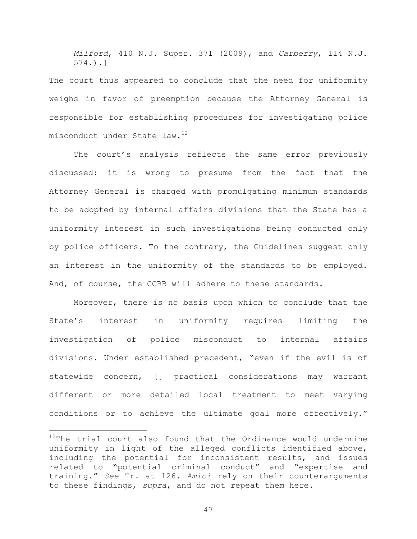*Milford*, 410 N.J. Super. 371 (2009), and *Carberry*, 114 N.J. 574.).]

The court thus appeared to conclude that the need for uniformity weighs in favor of preemption because the Attorney General is responsible for establishing procedures for investigating police misconduct under State law.<sup>12</sup>

The court's analysis reflects the same error previously discussed: it is wrong to presume from the fact that the Attorney General is charged with promulgating minimum standards to be adopted by internal affairs divisions that the State has a uniformity interest in such investigations being conducted only by police officers. To the contrary, the Guidelines suggest only an interest in the uniformity of the standards to be employed. And, of course, the CCRB will adhere to these standards.

Moreover, there is no basis upon which to conclude that the State's interest in uniformity requires limiting the investigation of police misconduct to internal affairs divisions. Under established precedent, "even if the evil is of statewide concern, [] practical considerations may warrant different or more detailed local treatment to meet varying conditions or to achieve the ultimate goal more effectively."

L,

 $12$ The trial court also found that the Ordinance would undermine uniformity in light of the alleged conflicts identified above, including the potential for inconsistent results, and issues related to "potential criminal conduct" and "expertise and training." *See* Tr. at 126. *Amici* rely on their counterarguments to these findings, *supra*, and do not repeat them here.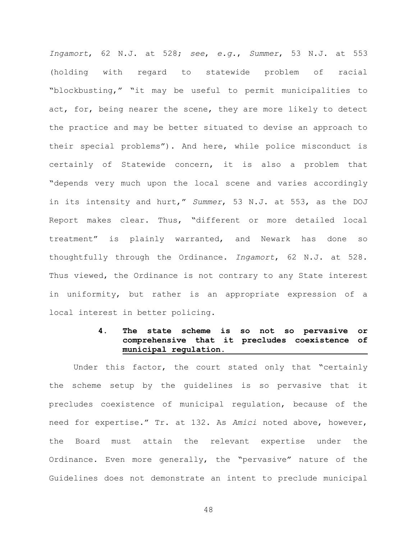*Ingamort*, 62 N.J. at 528; *see*, *e.g.*, *Summer*, 53 N.J. at 553 (holding with regard to statewide problem of racial "blockbusting," "it may be useful to permit municipalities to act, for, being nearer the scene, they are more likely to detect the practice and may be better situated to devise an approach to their special problems"). And here, while police misconduct is certainly of Statewide concern, it is also a problem that "depends very much upon the local scene and varies accordingly in its intensity and hurt," *Summer*, 53 N.J. at 553, as the DOJ Report makes clear. Thus, "different or more detailed local treatment" is plainly warranted, and Newark has done so thoughtfully through the Ordinance. *Ingamort*, 62 N.J. at 528. Thus viewed, the Ordinance is not contrary to any State interest in uniformity, but rather is an appropriate expression of a local interest in better policing.

### **4. The state scheme is so not so pervasive or comprehensive that it precludes coexistence of municipal regulation.**

Under this factor, the court stated only that "certainly the scheme setup by the guidelines is so pervasive that it precludes coexistence of municipal regulation, because of the need for expertise." Tr. at 132. As *Amici* noted above, however, the Board must attain the relevant expertise under the Ordinance. Even more generally, the "pervasive" nature of the Guidelines does not demonstrate an intent to preclude municipal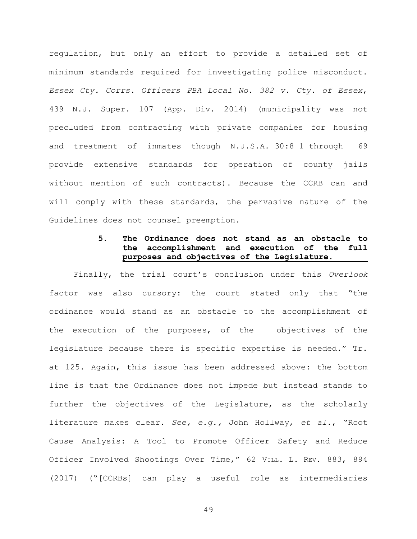regulation, but only an effort to provide a detailed set of minimum standards required for investigating police misconduct. *Essex Cty. Corrs. Officers PBA Local No. 382 v. Cty. of Essex*, 439 N.J. Super. 107 (App. Div. 2014) (municipality was not precluded from contracting with private companies for housing and treatment of inmates though N.J.S.A. 30:8–1 through –69 provide extensive standards for operation of county jails without mention of such contracts). Because the CCRB can and will comply with these standards, the pervasive nature of the Guidelines does not counsel preemption.

# **5. The Ordinance does not stand as an obstacle to the accomplishment and execution of the full purposes and objectives of the Legislature.**

Finally, the trial court's conclusion under this *Overlook*  factor was also cursory: the court stated only that "the ordinance would stand as an obstacle to the accomplishment of the execution of the purposes, of the – objectives of the legislature because there is specific expertise is needed." Tr. at 125. Again, this issue has been addressed above: the bottom line is that the Ordinance does not impede but instead stands to further the objectives of the Legislature, as the scholarly literature makes clear. *See, e.g.,* John Hollway, *et al.*, "Root Cause Analysis: A Tool to Promote Officer Safety and Reduce Officer Involved Shootings Over Time," 62 VILL. L. REV. 883, 894 (2017) ("[CCRBs] can play a useful role as intermediaries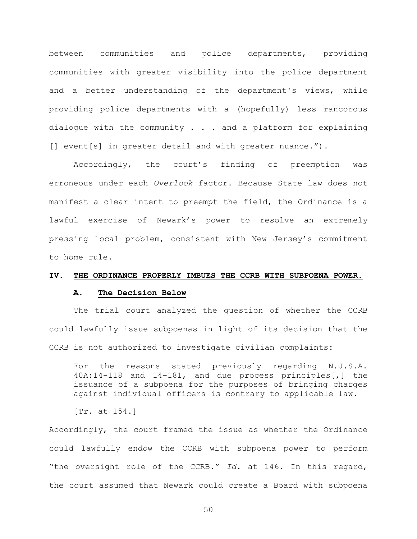between communities and police departments, providing communities with greater visibility into the police department and a better understanding of the department's views, while providing police departments with a (hopefully) less rancorous dialogue with the community . . . and a platform for explaining [] event[s] in greater detail and with greater nuance.").

Accordingly, the court's finding of preemption was erroneous under each *Overlook* factor. Because State law does not manifest a clear intent to preempt the field, the Ordinance is a lawful exercise of Newark's power to resolve an extremely pressing local problem, consistent with New Jersey's commitment to home rule.

#### **IV. THE ORDINANCE PROPERLY IMBUES THE CCRB WITH SUBPOENA POWER.**

### **A. The Decision Below**

The trial court analyzed the question of whether the CCRB could lawfully issue subpoenas in light of its decision that the CCRB is not authorized to investigate civilian complaints:

For the reasons stated previously regarding N.J.S.A. 40A:14-118 and 14-181, and due process principles[,] the issuance of a subpoena for the purposes of bringing charges against individual officers is contrary to applicable law.

[Tr. at 154.]

Accordingly, the court framed the issue as whether the Ordinance could lawfully endow the CCRB with subpoena power to perform "the oversight role of the CCRB." *Id.* at 146. In this regard, the court assumed that Newark could create a Board with subpoena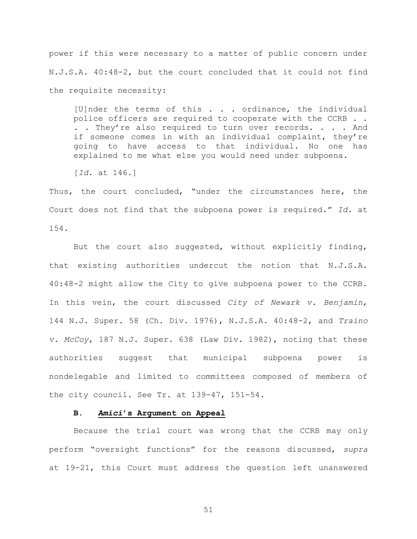power if this were necessary to a matter of public concern under N.J.S.A. 40:48-2, but the court concluded that it could not find the requisite necessity:

[U]nder the terms of this . . . ordinance, the individual police officers are required to cooperate with the CCRB . . . . They're also required to turn over records. . . . And if someone comes in with an individual complaint, they're going to have access to that individual. No one has explained to me what else you would need under subpoena.

[*Id.* at 146.]

Thus, the court concluded, "under the circumstances here, the Court does not find that the subpoena power is required." *Id.* at 154.

But the court also suggested, without explicitly finding, that existing authorities undercut the notion that N.J.S.A. 40:48-2 might allow the City to give subpoena power to the CCRB. In this vein, the court discussed *City of Newark v. Benjamin*, 144 N.J. Super. 58 (Ch. Div. 1976), N.J.S.A. 40:48-2, and *Traino v. McCoy*, 187 N.J. Super. 638 (Law Div. 1982), noting that these authorities suggest that municipal subpoena power is nondelegable and limited to committees composed of members of the city council. See Tr. at 139-47, 151-54.

### **B.** *Amici***'s Argument on Appeal**

Because the trial court was wrong that the CCRB may only perform "oversight functions" for the reasons discussed, *supra*  at 19-21, this Court must address the question left unanswered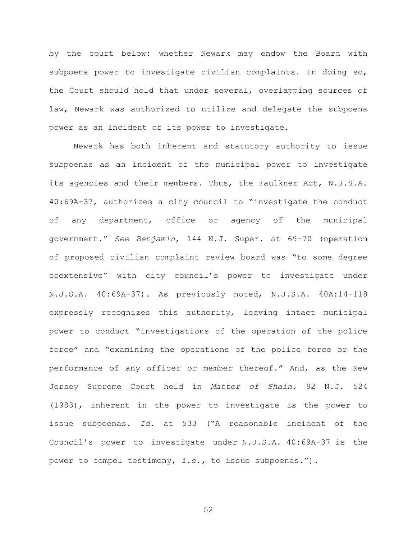by the court below: whether Newark may endow the Board with subpoena power to investigate civilian complaints. In doing so, the Court should hold that under several, overlapping sources of law, Newark was authorized to utilize and delegate the subpoena power as an incident of its power to investigate.

Newark has both inherent and statutory authority to issue subpoenas as an incident of the municipal power to investigate its agencies and their members. Thus, the Faulkner Act, N.J.S.A. 40:69A-37, authorizes a city council to "investigate the conduct of any department, office or agency of the municipal government." *See Benjamin*, 144 N.J. Super. at 69-70 (operation of proposed civilian complaint review board was "to some degree coextensive" with city council's power to investigate under N.J.S.A. 40:69A-37). As previously noted, N.J.S.A. 40A:14-118 expressly recognizes this authority, leaving intact municipal power to conduct "investigations of the operation of the police force" and "examining the operations of the police force or the performance of any officer or member thereof." And, as the New Jersey Supreme Court held in *Matter of Shain,* 92 N.J. 524 (1983), inherent in the power to investigate is the power to issue subpoenas. *Id.* at 533 ("A reasonable incident of the Council's power to investigate under N.J.S.A. 40:69A-37 is the power to compel testimony, *i.e.,* to issue subpoenas.").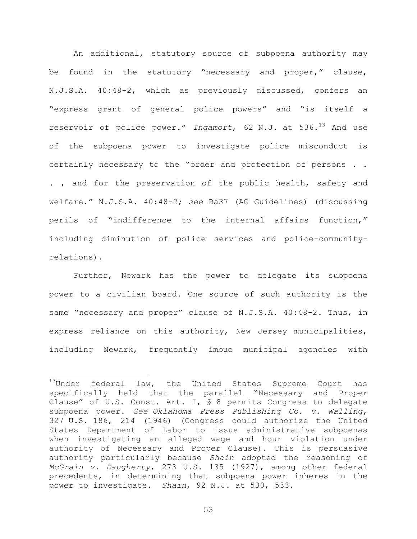An additional, statutory source of subpoena authority may be found in the statutory "necessary and proper," clause, N.J.S.A. 40:48-2, which as previously discussed, confers an "express grant of general police powers" and "is itself a reservoir of police power." *Ingamort*, 62 N.J. at 536.<sup>13</sup> And use of the subpoena power to investigate police misconduct is certainly necessary to the "order and protection of persons . . . , and for the preservation of the public health, safety and welfare." N.J.S.A. 40:48-2; *see* Ra37 (AG Guidelines) (discussing perils of "indifference to the internal affairs function," including diminution of police services and police-communityrelations).

Further, Newark has the power to delegate its subpoena power to a civilian board. One source of such authority is the same "necessary and proper" clause of N.J.S.A. 40:48-2. Thus, in express reliance on this authority, New Jersey municipalities, including Newark, frequently imbue municipal agencies with

a<br>B

<sup>&</sup>lt;sup>13</sup>Under federal law, the United States Supreme Court has specifically held that the parallel "Necessary and Proper Clause" of U.S. Const. Art. I, § 8 permits Congress to delegate subpoena power. *See Oklahoma Press Publishing Co. v. Walling*, 327 U.S. 186, 214 (1946) (Congress could authorize the United States Department of Labor to issue administrative subpoenas when investigating an alleged wage and hour violation under authority of Necessary and Proper Clause). This is persuasive authority particularly because *Shain* adopted the reasoning of *McGrain v. Daugherty*, 273 U.S. 135 (1927), among other federal precedents, in determining that subpoena power inheres in the power to investigate. *Shain*, 92 N.J. at 530, 533.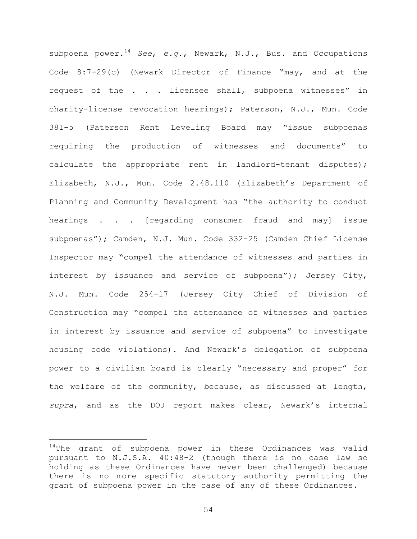subpoena power.<sup>14</sup> *See*, *e.g.*, Newark, N.J., Bus. and Occupations Code 8:7-29(c) (Newark Director of Finance "may, and at the request of the . . . licensee shall, subpoena witnesses" in charity-license revocation hearings); Paterson, N.J., Mun. Code 381-5 (Paterson Rent Leveling Board may "issue subpoenas requiring the production of witnesses and documents" to calculate the appropriate rent in landlord-tenant disputes); Elizabeth, N.J., Mun. Code 2.48.110 (Elizabeth's Department of Planning and Community Development has "the authority to conduct hearings . . . [regarding consumer fraud and may] issue subpoenas"); Camden, N.J. Mun. Code 332-25 (Camden Chief License Inspector may "compel the attendance of witnesses and parties in interest by issuance and service of subpoena"); Jersey City, N.J. Mun. Code 254-17 (Jersey City Chief of Division of Construction may "compel the attendance of witnesses and parties in interest by issuance and service of subpoena" to investigate housing code violations). And Newark's delegation of subpoena power to a civilian board is clearly "necessary and proper" for the welfare of the community, because, as discussed at length, *supra*, and as the DOJ report makes clear, Newark's internal

a<br>B

 $14$ The grant of subpoena power in these Ordinances was valid pursuant to N.J.S.A. 40:48-2 (though there is no case law so holding as these Ordinances have never been challenged) because there is no more specific statutory authority permitting the grant of subpoena power in the case of any of these Ordinances.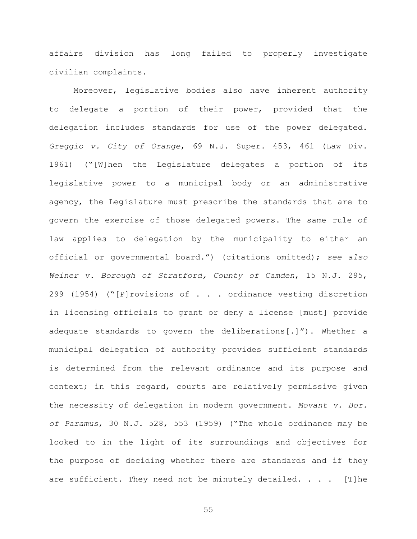affairs division has long failed to properly investigate civilian complaints.

Moreover, legislative bodies also have inherent authority to delegate a portion of their power, provided that the delegation includes standards for use of the power delegated. *Greggio v. City of Orange*, 69 N.J. Super. 453, 461 (Law Div. 1961) ("[W]hen the Legislature delegates a portion of its legislative power to a municipal body or an administrative agency, the Legislature must prescribe the standards that are to govern the exercise of those delegated powers. The same rule of law applies to delegation by the municipality to either an official or governmental board.") (citations omitted); *see also Weiner v. Borough of Stratford, County of Camden*, 15 N.J. 295, 299 (1954) ("[P]rovisions of . . . ordinance vesting discretion in licensing officials to grant or deny a license [must] provide adequate standards to govern the deliberations[.]"). Whether a municipal delegation of authority provides sufficient standards is determined from the relevant ordinance and its purpose and context; in this regard, courts are relatively permissive given the necessity of delegation in modern government. *Movant v. Bor. of Paramus*, 30 N.J. 528, 553 (1959) ("The whole ordinance may be looked to in the light of its surroundings and objectives for the purpose of deciding whether there are standards and if they are sufficient. They need not be minutely detailed. . . . [T]he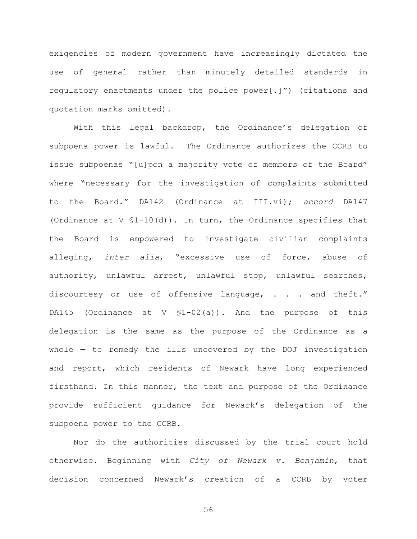exigencies of modern government have increasingly dictated the use of general rather than minutely detailed standards in regulatory enactments under the police power[.]") (citations and quotation marks omitted).

With this legal backdrop, the Ordinance's delegation of subpoena power is lawful. The Ordinance authorizes the CCRB to issue subpoenas "[u]pon a majority vote of members of the Board" where "necessary for the investigation of complaints submitted to the Board." DA142 (Ordinance at III.vi); *accord* DA147 (Ordinance at V §1-10(d)). In turn, the Ordinance specifies that the Board is empowered to investigate civilian complaints alleging, *inter alia*, "excessive use of force, abuse of authority, unlawful arrest, unlawful stop, unlawful searches, discourtesy or use of offensive language, . . . and theft." DA145 (Ordinance at V §1-02(a)). And the purpose of this delegation is the same as the purpose of the Ordinance as a whole — to remedy the ills uncovered by the DOJ investigation and report, which residents of Newark have long experienced firsthand. In this manner, the text and purpose of the Ordinance provide sufficient guidance for Newark's delegation of the subpoena power to the CCRB.

Nor do the authorities discussed by the trial court hold otherwise. Beginning with *City of Newark v. Benjamin*, that decision concerned Newark's creation of a CCRB by voter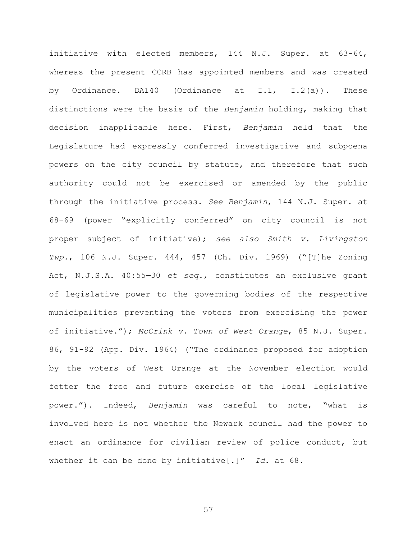initiative with elected members, 144 N.J. Super. at 63-64, whereas the present CCRB has appointed members and was created by Ordinance. DA140 (Ordinance at I.1, I.2(a)). These distinctions were the basis of the *Benjamin* holding, making that decision inapplicable here. First, *Benjamin* held that the Legislature had expressly conferred investigative and subpoena powers on the city council by statute, and therefore that such authority could not be exercised or amended by the public through the initiative process. *See Benjamin*, 144 N.J. Super. at 68-69 (power "explicitly conferred" on city council is not proper subject of initiative); *see also Smith v. Livingston Twp.*, 106 N.J. Super. 444, 457 (Ch. Div. 1969) ("[T]he Zoning Act, N.J.S.A. 40:55—30 *et seq.*, constitutes an exclusive grant of legislative power to the governing bodies of the respective municipalities preventing the voters from exercising the power of initiative."); *McCrink v. Town of West Orange*, 85 N.J. Super. 86, 91-92 (App. Div. 1964) ("The ordinance proposed for adoption by the voters of West Orange at the November election would fetter the free and future exercise of the local legislative power."). Indeed, *Benjamin* was careful to note, "what is involved here is not whether the Newark council had the power to enact an ordinance for civilian review of police conduct, but whether it can be done by initiative[.]" *Id.* at 68.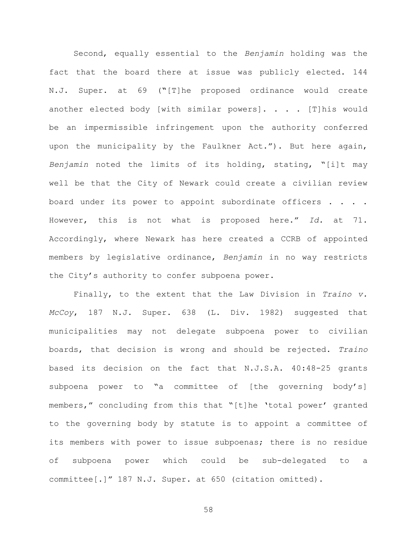Second, equally essential to the *Benjamin* holding was the fact that the board there at issue was publicly elected. 144 N.J. Super. at 69 (**"**[T]he proposed ordinance would create another elected body [with similar powers]. . . . [T]his would be an impermissible infringement upon the authority conferred upon the municipality by the Faulkner Act."). But here again, *Benjamin* noted the limits of its holding, stating, "[i]t may well be that the City of Newark could create a civilian review board under its power to appoint subordinate officers . . . . However, this is not what is proposed here." *Id.* at 71. Accordingly, where Newark has here created a CCRB of appointed members by legislative ordinance, *Benjamin* in no way restricts the City's authority to confer subpoena power.

Finally, to the extent that the Law Division in *Traino v. McCoy*, 187 N.J. Super. 638 (L. Div. 1982) suggested that municipalities may not delegate subpoena power to civilian boards, that decision is wrong and should be rejected. *Traino* based its decision on the fact that N.J.S.A. 40:48-25 grants subpoena power to "a committee of [the governing body's] members," concluding from this that "[t]he 'total power' granted to the governing body by statute is to appoint a committee of its members with power to issue subpoenas; there is no residue of subpoena power which could be sub-delegated to a committee[.]" 187 N.J. Super. at 650 (citation omitted).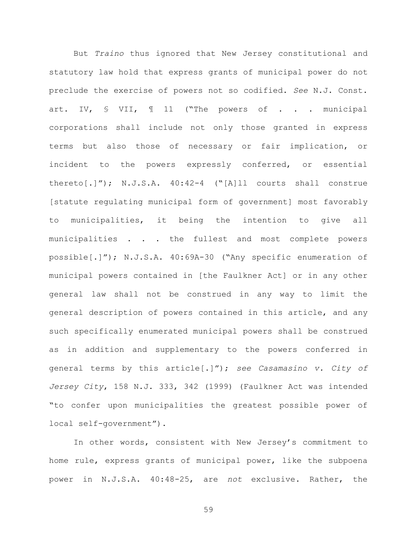But *Traino* thus ignored that New Jersey constitutional and statutory law hold that express grants of municipal power do not preclude the exercise of powers not so codified. *See* N.J. Const. art. IV, § VII, ¶ 11 ("The powers of . . . municipal corporations shall include not only those granted in express terms but also those of necessary or fair implication, or incident to the powers expressly conferred, or essential thereto[.]"); N.J.S.A. 40:42-4 ("[A]ll courts shall construe [statute regulating municipal form of government] most favorably to municipalities, it being the intention to give all municipalities . . . the fullest and most complete powers possible[.]"); N.J.S.A. 40:69A-30 ("Any specific enumeration of municipal powers contained in [the Faulkner Act] or in any other general law shall not be construed in any way to limit the general description of powers contained in this article, and any such specifically enumerated municipal powers shall be construed as in addition and supplementary to the powers conferred in general terms by this article[.]"); *see Casamasino v. City of Jersey City*, 158 N.J. 333, 342 (1999) (Faulkner Act was intended "to confer upon municipalities the greatest possible power of local self-government").

In other words, consistent with New Jersey's commitment to home rule, express grants of municipal power, like the subpoena power in N.J.S.A. 40:48-25, are *not* exclusive. Rather, the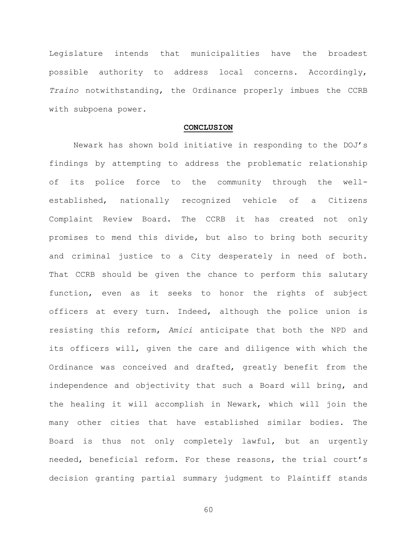Legislature intends that municipalities have the broadest possible authority to address local concerns. Accordingly, *Traino* notwithstanding, the Ordinance properly imbues the CCRB with subpoena power.

### **CONCLUSION**

Newark has shown bold initiative in responding to the DOJ's findings by attempting to address the problematic relationship of its police force to the community through the wellestablished, nationally recognized vehicle of a Citizens Complaint Review Board. The CCRB it has created not only promises to mend this divide, but also to bring both security and criminal justice to a City desperately in need of both. That CCRB should be given the chance to perform this salutary function, even as it seeks to honor the rights of subject officers at every turn. Indeed, although the police union is resisting this reform, *Amici* anticipate that both the NPD and its officers will, given the care and diligence with which the Ordinance was conceived and drafted, greatly benefit from the independence and objectivity that such a Board will bring, and the healing it will accomplish in Newark, which will join the many other cities that have established similar bodies. The Board is thus not only completely lawful, but an urgently needed, beneficial reform. For these reasons, the trial court's decision granting partial summary judgment to Plaintiff stands